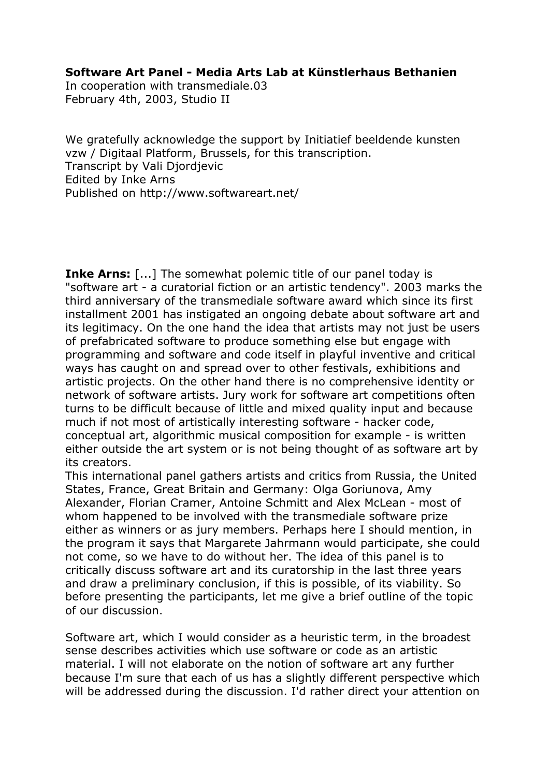### **Software Art Panel - Media Arts Lab at Künstlerhaus Bethanien**

In cooperation with transmediale.03 February 4th, 2003, Studio II

We gratefully acknowledge the support by Initiatief beeldende kunsten vzw / Digitaal Platform, Brussels, for this transcription. Transcript by Vali Djordjevic Edited by Inke Arns Published on http://www.softwareart.net/

**Inke Arns:** [...] The somewhat polemic title of our panel today is "software art - a curatorial fiction or an artistic tendency". 2003 marks the third anniversary of the transmediale software award which since its first installment 2001 has instigated an ongoing debate about software art and its legitimacy. On the one hand the idea that artists may not just be users of prefabricated software to produce something else but engage with programming and software and code itself in playful inventive and critical ways has caught on and spread over to other festivals, exhibitions and artistic projects. On the other hand there is no comprehensive identity or network of software artists. Jury work for software art competitions often turns to be difficult because of little and mixed quality input and because much if not most of artistically interesting software - hacker code, conceptual art, algorithmic musical composition for example - is written either outside the art system or is not being thought of as software art by its creators.

This international panel gathers artists and critics from Russia, the United States, France, Great Britain and Germany: Olga Goriunova, Amy Alexander, Florian Cramer, Antoine Schmitt and Alex McLean - most of whom happened to be involved with the transmediale software prize either as winners or as jury members. Perhaps here I should mention, in the program it says that Margarete Jahrmann would participate, she could not come, so we have to do without her. The idea of this panel is to critically discuss software art and its curatorship in the last three years and draw a preliminary conclusion, if this is possible, of its viability. So before presenting the participants, let me give a brief outline of the topic of our discussion.

Software art, which I would consider as a heuristic term, in the broadest sense describes activities which use software or code as an artistic material. I will not elaborate on the notion of software art any further because I'm sure that each of us has a slightly different perspective which will be addressed during the discussion. I'd rather direct your attention on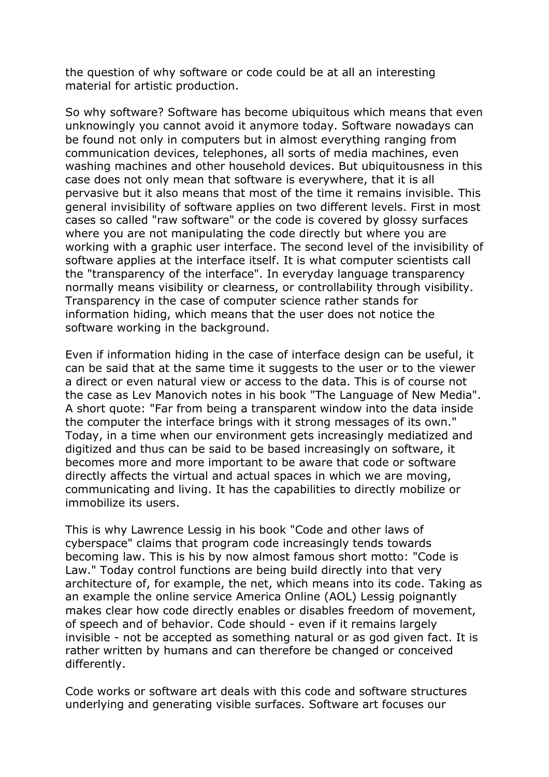the question of why software or code could be at all an interesting material for artistic production.

So why software? Software has become ubiquitous which means that even unknowingly you cannot avoid it anymore today. Software nowadays can be found not only in computers but in almost everything ranging from communication devices, telephones, all sorts of media machines, even washing machines and other household devices. But ubiquitousness in this case does not only mean that software is everywhere, that it is all pervasive but it also means that most of the time it remains invisible. This general invisibility of software applies on two different levels. First in most cases so called "raw software" or the code is covered by glossy surfaces where you are not manipulating the code directly but where you are working with a graphic user interface. The second level of the invisibility of software applies at the interface itself. It is what computer scientists call the "transparency of the interface". In everyday language transparency normally means visibility or clearness, or controllability through visibility. Transparency in the case of computer science rather stands for information hiding, which means that the user does not notice the software working in the background.

Even if information hiding in the case of interface design can be useful, it can be said that at the same time it suggests to the user or to the viewer a direct or even natural view or access to the data. This is of course not the case as Lev Manovich notes in his book "The Language of New Media". A short quote: "Far from being a transparent window into the data inside the computer the interface brings with it strong messages of its own." Today, in a time when our environment gets increasingly mediatized and digitized and thus can be said to be based increasingly on software, it becomes more and more important to be aware that code or software directly affects the virtual and actual spaces in which we are moving, communicating and living. It has the capabilities to directly mobilize or immobilize its users.

This is why Lawrence Lessig in his book "Code and other laws of cyberspace" claims that program code increasingly tends towards becoming law. This is his by now almost famous short motto: "Code is Law." Today control functions are being build directly into that very architecture of, for example, the net, which means into its code. Taking as an example the online service America Online (AOL) Lessig poignantly makes clear how code directly enables or disables freedom of movement, of speech and of behavior. Code should - even if it remains largely invisible - not be accepted as something natural or as god given fact. It is rather written by humans and can therefore be changed or conceived differently.

Code works or software art deals with this code and software structures underlying and generating visible surfaces. Software art focuses our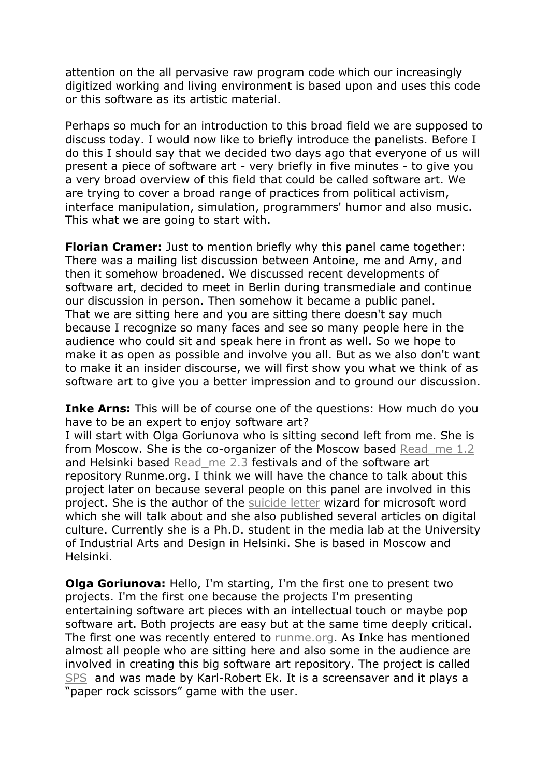attention on the all pervasive raw program code which our increasingly digitized working and living environment is based upon and uses this code or this software as its artistic material.

Perhaps so much for an introduction to this broad field we are supposed to discuss today. I would now like to briefly introduce the panelists. Before I do this I should say that we decided two days ago that everyone of us will present a piece of software art - very briefly in five minutes - to give you a very broad overview of this field that could be called software art. We are trying to cover a broad range of practices from political activism, interface manipulation, simulation, programmers' humor and also music. This what we are going to start with.

**Florian Cramer:** Just to mention briefly why this panel came together: There was a mailing list discussion between Antoine, me and Amy, and then it somehow broadened. We discussed recent developments of software art, decided to meet in Berlin during transmediale and continue our discussion in person. Then somehow it became a public panel. That we are sitting here and you are sitting there doesn't say much because I recognize so many faces and see so many people here in the audience who could sit and speak here in front as well. So we hope to make it as open as possible and involve you all. But as we also don't want to make it an insider discourse, we will first show you what we think of as software art to give you a better impression and to ground our discussion.

**Inke Arns:** This will be of course one of the questions: How much do you have to be an expert to enjoy software art?

I will start with Olga Goriunova who is sitting second left from me. She is from Moscow. She is the co-organizer of the Moscow based Read\_me 1.2 and Helsinki based Read me 2.3 festivals and of the software art repository Runme.org. I think we will have the chance to talk about this project later on because several people on this panel are involved in this project. She is the author of the suicide letter wizard for microsoft word which she will talk about and she also published several articles on digital culture. Currently she is a Ph.D. student in the media lab at the University of Industrial Arts and Design in Helsinki. She is based in Moscow and Helsinki.

**Olga Goriunova:** Hello, I'm starting, I'm the first one to present two projects. I'm the first one because the projects I'm presenting entertaining software art pieces with an intellectual touch or maybe pop software art. Both projects are easy but at the same time deeply critical. The first one was recently entered to runme.org. As Inke has mentioned almost all people who are sitting here and also some in the audience are involved in creating this big software art repository. The project is called SPS and was made by Karl-Robert Ek. It is a screensaver and it plays a "paper rock scissors" game with the user.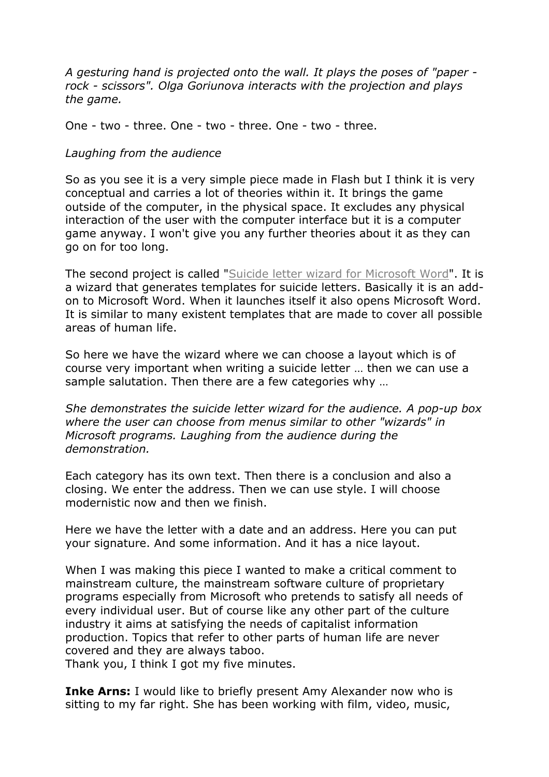*A gesturing hand is projected onto the wall. It plays the poses of "paper rock - scissors". Olga Goriunova interacts with the projection and plays the game.*

One - two - three. One - two - three. One - two - three.

### *Laughing from the audience*

So as you see it is a very simple piece made in Flash but I think it is very conceptual and carries a lot of theories within it. It brings the game outside of the computer, in the physical space. It excludes any physical interaction of the user with the computer interface but it is a computer game anyway. I won't give you any further theories about it as they can go on for too long.

The second project is called "Suicide letter wizard for Microsoft Word". It is a wizard that generates templates for suicide letters. Basically it is an addon to Microsoft Word. When it launches itself it also opens Microsoft Word. It is similar to many existent templates that are made to cover all possible areas of human life.

So here we have the wizard where we can choose a layout which is of course very important when writing a suicide letter … then we can use a sample salutation. Then there are a few categories why …

*She demonstrates the suicide letter wizard for the audience. A pop-up box where the user can choose from menus similar to other "wizards" in Microsoft programs. Laughing from the audience during the demonstration.*

Each category has its own text. Then there is a conclusion and also a closing. We enter the address. Then we can use style. I will choose modernistic now and then we finish.

Here we have the letter with a date and an address. Here you can put your signature. And some information. And it has a nice layout.

When I was making this piece I wanted to make a critical comment to mainstream culture, the mainstream software culture of proprietary programs especially from Microsoft who pretends to satisfy all needs of every individual user. But of course like any other part of the culture industry it aims at satisfying the needs of capitalist information production. Topics that refer to other parts of human life are never covered and they are always taboo.

Thank you, I think I got my five minutes.

**Inke Arns:** I would like to briefly present Amy Alexander now who is sitting to my far right. She has been working with film, video, music,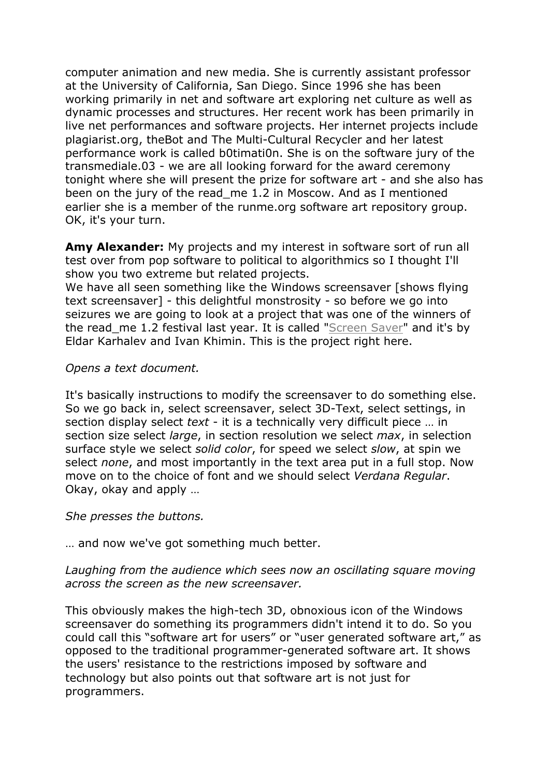computer animation and new media. She is currently assistant professor at the University of California, San Diego. Since 1996 she has been working primarily in net and software art exploring net culture as well as dynamic processes and structures. Her recent work has been primarily in live net performances and software projects. Her internet projects include plagiarist.org, theBot and The Multi-Cultural Recycler and her latest performance work is called b0timati0n. She is on the software jury of the transmediale.03 - we are all looking forward for the award ceremony tonight where she will present the prize for software art - and she also has been on the jury of the read\_me 1.2 in Moscow. And as I mentioned earlier she is a member of the runme.org software art repository group. OK, it's your turn.

**Amy Alexander:** My projects and my interest in software sort of run all test over from pop software to political to algorithmics so I thought I'll show you two extreme but related projects.

We have all seen something like the Windows screensaver [shows flying] text screensaver] - this delightful monstrosity - so before we go into seizures we are going to look at a project that was one of the winners of the read me 1.2 festival last year. It is called "Screen Saver" and it's by Eldar Karhalev and Ivan Khimin. This is the project right here.

### *Opens a text document.*

It's basically instructions to modify the screensaver to do something else. So we go back in, select screensaver, select 3D-Text, select settings, in section display select *text* - it is a technically very difficult piece … in section size select *large*, in section resolution we select *max*, in selection surface style we select *solid color*, for speed we select *slow*, at spin we select *none*, and most importantly in the text area put in a full stop. Now move on to the choice of font and we should select *Verdana Regular*. Okay, okay and apply …

#### *She presses the buttons.*

… and now we've got something much better.

### *Laughing from the audience which sees now an oscillating square moving across the screen as the new screensaver.*

This obviously makes the high-tech 3D, obnoxious icon of the Windows screensaver do something its programmers didn't intend it to do. So you could call this "software art for users" or "user generated software art," as opposed to the traditional programmer-generated software art. It shows the users' resistance to the restrictions imposed by software and technology but also points out that software art is not just for programmers.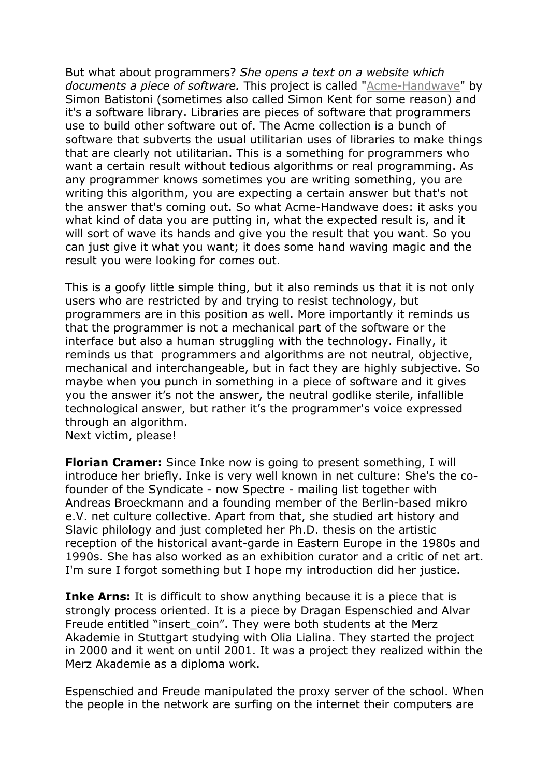But what about programmers? *She opens a text on a website which documents a piece of software.* This project is called "Acme-Handwave" by Simon Batistoni (sometimes also called Simon Kent for some reason) and it's a software library. Libraries are pieces of software that programmers use to build other software out of. The Acme collection is a bunch of software that subverts the usual utilitarian uses of libraries to make things that are clearly not utilitarian. This is a something for programmers who want a certain result without tedious algorithms or real programming. As any programmer knows sometimes you are writing something, you are writing this algorithm, you are expecting a certain answer but that's not the answer that's coming out. So what Acme-Handwave does: it asks you what kind of data you are putting in, what the expected result is, and it will sort of wave its hands and give you the result that you want. So you can just give it what you want; it does some hand waving magic and the result you were looking for comes out.

This is a goofy little simple thing, but it also reminds us that it is not only users who are restricted by and trying to resist technology, but programmers are in this position as well. More importantly it reminds us that the programmer is not a mechanical part of the software or the interface but also a human struggling with the technology. Finally, it reminds us that programmers and algorithms are not neutral, objective, mechanical and interchangeable, but in fact they are highly subjective. So maybe when you punch in something in a piece of software and it gives you the answer it's not the answer, the neutral godlike sterile, infallible technological answer, but rather it's the programmer's voice expressed through an algorithm.

Next victim, please!

**Florian Cramer:** Since Inke now is going to present something, I will introduce her briefly. Inke is very well known in net culture: She's the cofounder of the Syndicate - now Spectre - mailing list together with Andreas Broeckmann and a founding member of the Berlin-based mikro e.V. net culture collective. Apart from that, she studied art history and Slavic philology and just completed her Ph.D. thesis on the artistic reception of the historical avant-garde in Eastern Europe in the 1980s and 1990s. She has also worked as an exhibition curator and a critic of net art. I'm sure I forgot something but I hope my introduction did her justice.

**Inke Arns:** It is difficult to show anything because it is a piece that is strongly process oriented. It is a piece by Dragan Espenschied and Alvar Freude entitled "insert coin". They were both students at the Merz Akademie in Stuttgart studying with Olia Lialina. They started the project in 2000 and it went on until 2001. It was a project they realized within the Merz Akademie as a diploma work.

Espenschied and Freude manipulated the proxy server of the school. When the people in the network are surfing on the internet their computers are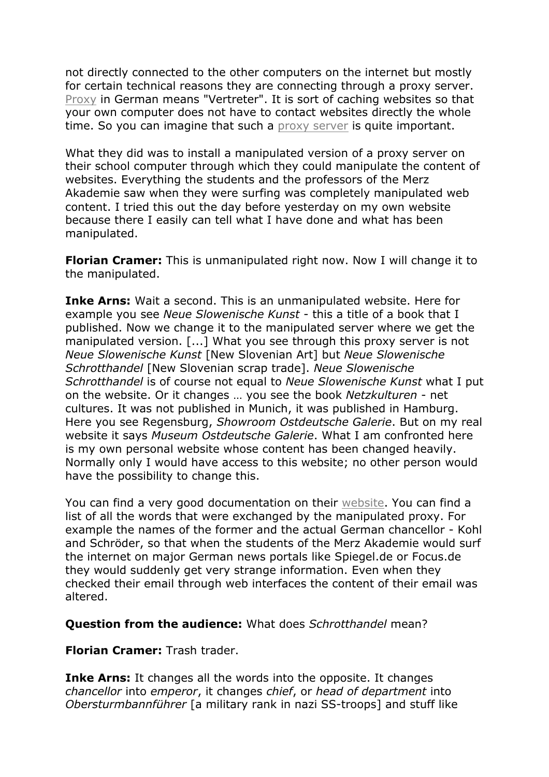not directly connected to the other computers on the internet but mostly for certain technical reasons they are connecting through a proxy server. Proxy in German means "Vertreter". It is sort of caching websites so that your own computer does not have to contact websites directly the whole time. So you can imagine that such a proxy server is quite important.

What they did was to install a manipulated version of a proxy server on their school computer through which they could manipulate the content of websites. Everything the students and the professors of the Merz Akademie saw when they were surfing was completely manipulated web content. I tried this out the day before yesterday on my own website because there I easily can tell what I have done and what has been manipulated.

**Florian Cramer:** This is unmanipulated right now. Now I will change it to the manipulated.

**Inke Arns:** Wait a second. This is an unmanipulated website. Here for example you see *Neue Slowenische Kunst* - this a title of a book that I published. Now we change it to the manipulated server where we get the manipulated version. [...] What you see through this proxy server is not *Neue Slowenische Kunst* [New Slovenian Art] but *Neue Slowenische Schrotthandel* [New Slovenian scrap trade]. *Neue Slowenische Schrotthandel* is of course not equal to *Neue Slowenische Kunst* what I put on the website. Or it changes … you see the book *Netzkulturen* - net cultures. It was not published in Munich, it was published in Hamburg. Here you see Regensburg, *Showroom Ostdeutsche Galerie*. But on my real website it says *Museum Ostdeutsche Galerie*. What I am confronted here is my own personal website whose content has been changed heavily. Normally only I would have access to this website; no other person would have the possibility to change this.

You can find a very good documentation on their website. You can find a list of all the words that were exchanged by the manipulated proxy. For example the names of the former and the actual German chancellor - Kohl and Schröder, so that when the students of the Merz Akademie would surf the internet on major German news portals like Spiegel.de or Focus.de they would suddenly get very strange information. Even when they checked their email through web interfaces the content of their email was altered.

**Question from the audience:** What does *Schrotthandel* mean?

**Florian Cramer:** Trash trader.

**Inke Arns:** It changes all the words into the opposite. It changes *chancellor* into *emperor*, it changes *chief*, or *head of department* into *Obersturmbannführer* [a military rank in nazi SS-troops] and stuff like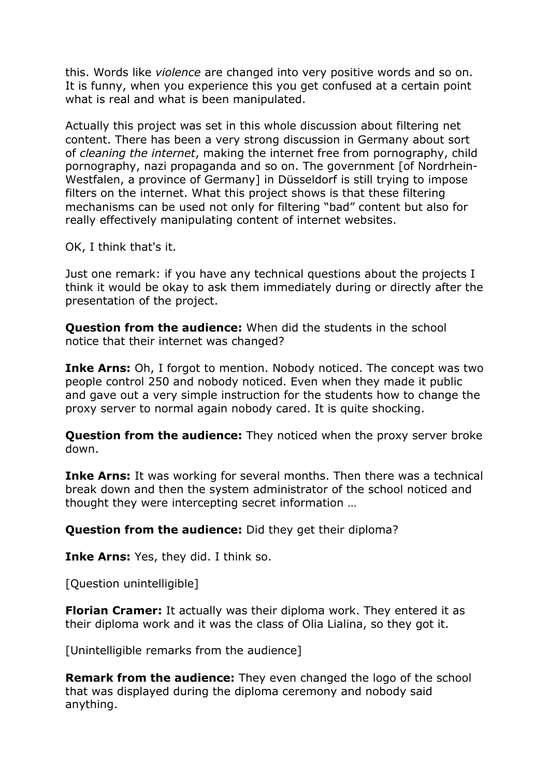this. Words like *violence* are changed into very positive words and so on. It is funny, when you experience this you get confused at a certain point what is real and what is been manipulated.

Actually this project was set in this whole discussion about filtering net content. There has been a very strong discussion in Germany about sort of *cleaning the internet*, making the internet free from pornography, child pornography, nazi propaganda and so on. The government [of Nordrhein-Westfalen, a province of Germany] in Düsseldorf is still trying to impose filters on the internet. What this project shows is that these filtering mechanisms can be used not only for filtering "bad" content but also for really effectively manipulating content of internet websites.

OK, I think that's it.

Just one remark: if you have any technical questions about the projects I think it would be okay to ask them immediately during or directly after the presentation of the project.

**Question from the audience:** When did the students in the school notice that their internet was changed?

**Inke Arns:** Oh, I forgot to mention. Nobody noticed. The concept was two people control 250 and nobody noticed. Even when they made it public and gave out a very simple instruction for the students how to change the proxy server to normal again nobody cared. It is quite shocking.

**Question from the audience:** They noticed when the proxy server broke down.

**Inke Arns:** It was working for several months. Then there was a technical break down and then the system administrator of the school noticed and thought they were intercepting secret information …

**Question from the audience:** Did they get their diploma?

**Inke Arns:** Yes, they did. I think so.

[Question unintelligible]

**Florian Cramer:** It actually was their diploma work. They entered it as their diploma work and it was the class of Olia Lialina, so they got it.

[Unintelligible remarks from the audience]

**Remark from the audience:** They even changed the logo of the school that was displayed during the diploma ceremony and nobody said anything.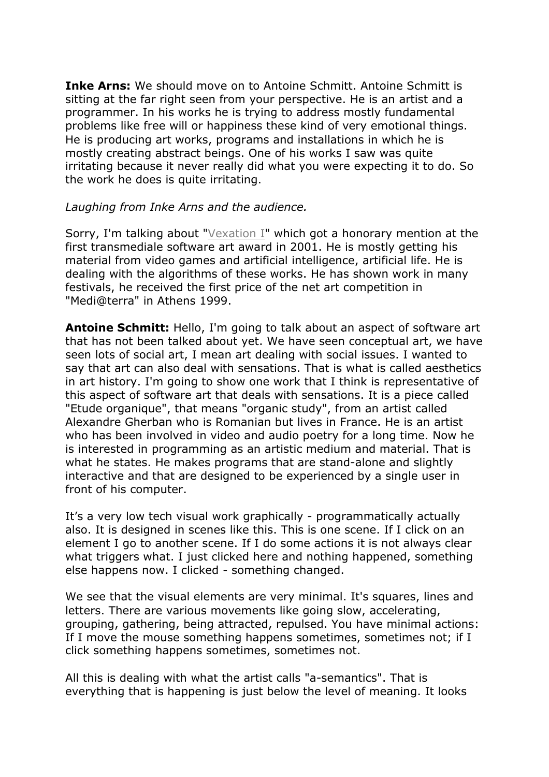**Inke Arns:** We should move on to Antoine Schmitt. Antoine Schmitt is sitting at the far right seen from your perspective. He is an artist and a programmer. In his works he is trying to address mostly fundamental problems like free will or happiness these kind of very emotional things. He is producing art works, programs and installations in which he is mostly creating abstract beings. One of his works I saw was quite irritating because it never really did what you were expecting it to do. So the work he does is quite irritating.

### *Laughing from Inke Arns and the audience.*

Sorry, I'm talking about "Vexation I" which got a honorary mention at the first transmediale software art award in 2001. He is mostly getting his material from video games and artificial intelligence, artificial life. He is dealing with the algorithms of these works. He has shown work in many festivals, he received the first price of the net art competition in "Medi@terra" in Athens 1999.

**Antoine Schmitt:** Hello, I'm going to talk about an aspect of software art that has not been talked about yet. We have seen conceptual art, we have seen lots of social art, I mean art dealing with social issues. I wanted to say that art can also deal with sensations. That is what is called aesthetics in art history. I'm going to show one work that I think is representative of this aspect of software art that deals with sensations. It is a piece called "Etude organique", that means "organic study", from an artist called Alexandre Gherban who is Romanian but lives in France. He is an artist who has been involved in video and audio poetry for a long time. Now he is interested in programming as an artistic medium and material. That is what he states. He makes programs that are stand-alone and slightly interactive and that are designed to be experienced by a single user in front of his computer.

It's a very low tech visual work graphically - programmatically actually also. It is designed in scenes like this. This is one scene. If I click on an element I go to another scene. If I do some actions it is not always clear what triggers what. I just clicked here and nothing happened, something else happens now. I clicked - something changed.

We see that the visual elements are very minimal. It's squares, lines and letters. There are various movements like going slow, accelerating, grouping, gathering, being attracted, repulsed. You have minimal actions: If I move the mouse something happens sometimes, sometimes not; if I click something happens sometimes, sometimes not.

All this is dealing with what the artist calls "a-semantics". That is everything that is happening is just below the level of meaning. It looks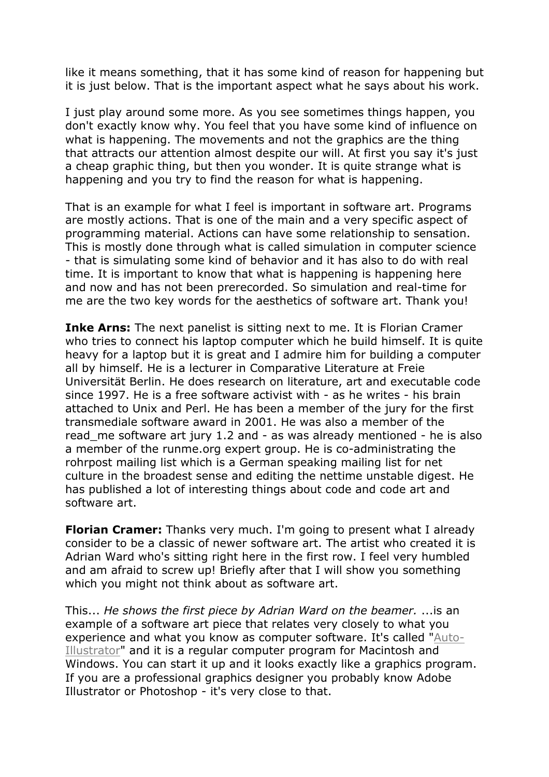like it means something, that it has some kind of reason for happening but it is just below. That is the important aspect what he says about his work.

I just play around some more. As you see sometimes things happen, you don't exactly know why. You feel that you have some kind of influence on what is happening. The movements and not the graphics are the thing that attracts our attention almost despite our will. At first you say it's just a cheap graphic thing, but then you wonder. It is quite strange what is happening and you try to find the reason for what is happening.

That is an example for what I feel is important in software art. Programs are mostly actions. That is one of the main and a very specific aspect of programming material. Actions can have some relationship to sensation. This is mostly done through what is called simulation in computer science - that is simulating some kind of behavior and it has also to do with real time. It is important to know that what is happening is happening here and now and has not been prerecorded. So simulation and real-time for me are the two key words for the aesthetics of software art. Thank you!

**Inke Arns:** The next panelist is sitting next to me. It is Florian Cramer who tries to connect his laptop computer which he build himself. It is quite heavy for a laptop but it is great and I admire him for building a computer all by himself. He is a lecturer in Comparative Literature at Freie Universität Berlin. He does research on literature, art and executable code since 1997. He is a free software activist with - as he writes - his brain attached to Unix and Perl. He has been a member of the jury for the first transmediale software award in 2001. He was also a member of the read me software art jury 1.2 and - as was already mentioned - he is also a member of the runme.org expert group. He is co-administrating the rohrpost mailing list which is a German speaking mailing list for net culture in the broadest sense and editing the nettime unstable digest. He has published a lot of interesting things about code and code art and software art.

**Florian Cramer:** Thanks very much. I'm going to present what I already consider to be a classic of newer software art. The artist who created it is Adrian Ward who's sitting right here in the first row. I feel very humbled and am afraid to screw up! Briefly after that I will show you something which you might not think about as software art.

This... *He shows the first piece by Adrian Ward on the beamer.* ...is an example of a software art piece that relates very closely to what you experience and what you know as computer software. It's called "Auto-Illustrator" and it is a regular computer program for Macintosh and Windows. You can start it up and it looks exactly like a graphics program. If you are a professional graphics designer you probably know Adobe Illustrator or Photoshop - it's very close to that.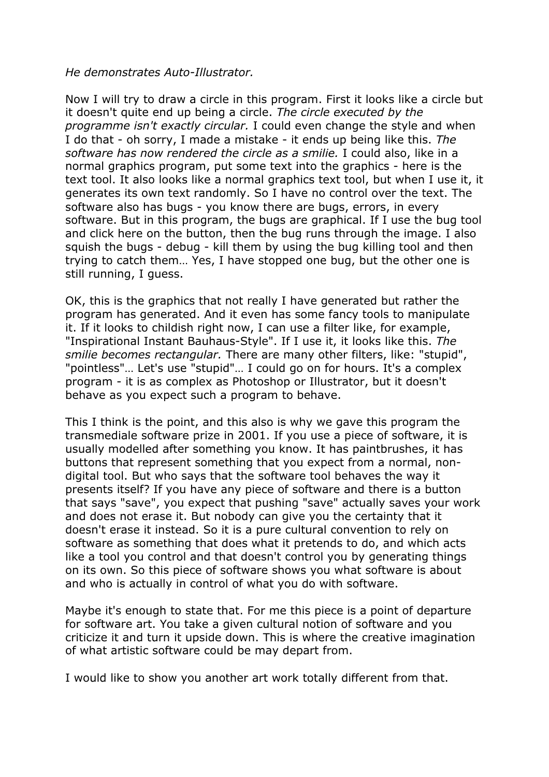### *He demonstrates Auto-Illustrator.*

Now I will try to draw a circle in this program. First it looks like a circle but it doesn't quite end up being a circle. *The circle executed by the programme isn't exactly circular.* I could even change the style and when I do that - oh sorry, I made a mistake - it ends up being like this. *The software has now rendered the circle as a smilie.* I could also, like in a normal graphics program, put some text into the graphics - here is the text tool. It also looks like a normal graphics text tool, but when I use it, it generates its own text randomly. So I have no control over the text. The software also has bugs - you know there are bugs, errors, in every software. But in this program, the bugs are graphical. If I use the bug tool and click here on the button, then the bug runs through the image. I also squish the bugs - debug - kill them by using the bug killing tool and then trying to catch them… Yes, I have stopped one bug, but the other one is still running, I guess.

OK, this is the graphics that not really I have generated but rather the program has generated. And it even has some fancy tools to manipulate it. If it looks to childish right now, I can use a filter like, for example, "Inspirational Instant Bauhaus-Style". If I use it, it looks like this. *The smilie becomes rectangular.* There are many other filters, like: "stupid", "pointless"… Let's use "stupid"… I could go on for hours. It's a complex program - it is as complex as Photoshop or Illustrator, but it doesn't behave as you expect such a program to behave.

This I think is the point, and this also is why we gave this program the transmediale software prize in 2001. If you use a piece of software, it is usually modelled after something you know. It has paintbrushes, it has buttons that represent something that you expect from a normal, nondigital tool. But who says that the software tool behaves the way it presents itself? If you have any piece of software and there is a button that says "save", you expect that pushing "save" actually saves your work and does not erase it. But nobody can give you the certainty that it doesn't erase it instead. So it is a pure cultural convention to rely on software as something that does what it pretends to do, and which acts like a tool you control and that doesn't control you by generating things on its own. So this piece of software shows you what software is about and who is actually in control of what you do with software.

Maybe it's enough to state that. For me this piece is a point of departure for software art. You take a given cultural notion of software and you criticize it and turn it upside down. This is where the creative imagination of what artistic software could be may depart from.

I would like to show you another art work totally different from that.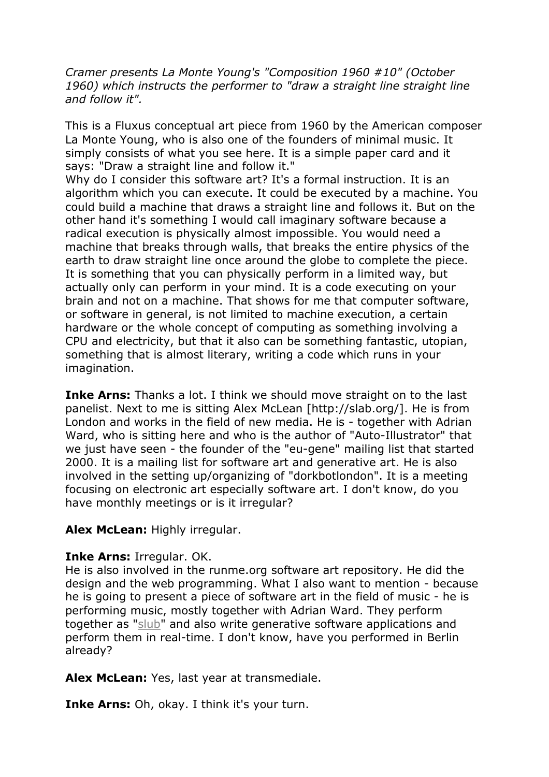*Cramer presents La Monte Young's "Composition 1960 #10" (October 1960) which instructs the performer to "draw a straight line straight line and follow it".* 

This is a Fluxus conceptual art piece from 1960 by the American composer La Monte Young, who is also one of the founders of minimal music. It simply consists of what you see here. It is a simple paper card and it says: "Draw a straight line and follow it."

Why do I consider this software art? It's a formal instruction. It is an algorithm which you can execute. It could be executed by a machine. You could build a machine that draws a straight line and follows it. But on the other hand it's something I would call imaginary software because a radical execution is physically almost impossible. You would need a machine that breaks through walls, that breaks the entire physics of the earth to draw straight line once around the globe to complete the piece. It is something that you can physically perform in a limited way, but actually only can perform in your mind. It is a code executing on your brain and not on a machine. That shows for me that computer software, or software in general, is not limited to machine execution, a certain hardware or the whole concept of computing as something involving a CPU and electricity, but that it also can be something fantastic, utopian, something that is almost literary, writing a code which runs in your imagination.

**Inke Arns:** Thanks a lot. I think we should move straight on to the last panelist. Next to me is sitting Alex McLean [http://slab.org/]. He is from London and works in the field of new media. He is - together with Adrian Ward, who is sitting here and who is the author of "Auto-Illustrator" that we just have seen - the founder of the "eu-gene" mailing list that started 2000. It is a mailing list for software art and generative art. He is also involved in the setting up/organizing of "dorkbotlondon". It is a meeting focusing on electronic art especially software art. I don't know, do you have monthly meetings or is it irregular?

### **Alex McLean:** Highly irregular.

### **Inke Arns:** Irregular. OK.

He is also involved in the runme.org software art repository. He did the design and the web programming. What I also want to mention - because he is going to present a piece of software art in the field of music - he is performing music, mostly together with Adrian Ward. They perform together as "slub" and also write generative software applications and perform them in real-time. I don't know, have you performed in Berlin already?

**Alex McLean:** Yes, last year at transmediale.

**Inke Arns:** Oh, okay. I think it's your turn.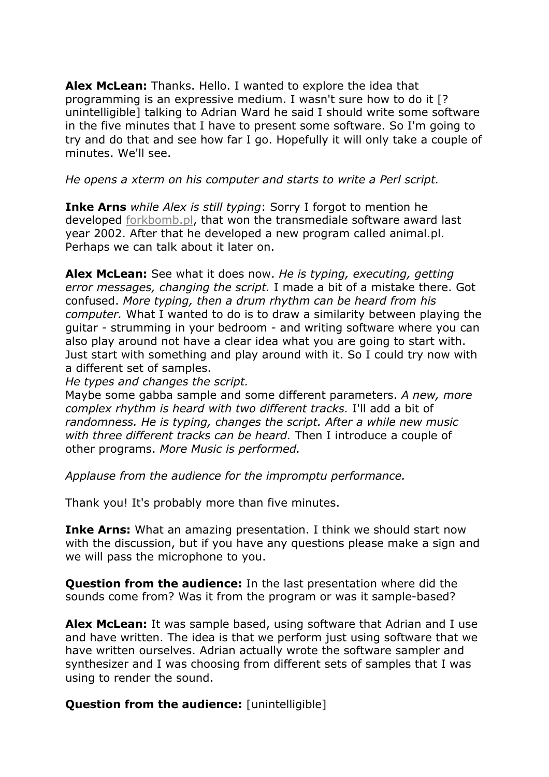**Alex McLean:** Thanks. Hello. I wanted to explore the idea that programming is an expressive medium. I wasn't sure how to do it [? unintelligible] talking to Adrian Ward he said I should write some software in the five minutes that I have to present some software. So I'm going to try and do that and see how far I go. Hopefully it will only take a couple of minutes. We'll see.

## *He opens a xterm on his computer and starts to write a Perl script.*

**Inke Arns** *while Alex is still typing*: Sorry I forgot to mention he developed forkbomb.pl, that won the transmediale software award last year 2002. After that he developed a new program called animal.pl. Perhaps we can talk about it later on.

**Alex McLean:** See what it does now. *He is typing, executing, getting error messages, changing the script.* I made a bit of a mistake there. Got confused. *More typing, then a drum rhythm can be heard from his computer.* What I wanted to do is to draw a similarity between playing the guitar - strumming in your bedroom - and writing software where you can also play around not have a clear idea what you are going to start with. Just start with something and play around with it. So I could try now with a different set of samples.

*He types and changes the script.*

Maybe some gabba sample and some different parameters. *A new, more complex rhythm is heard with two different tracks.* I'll add a bit of *randomness. He is typing, changes the script. After a while new music with three different tracks can be heard.* Then I introduce a couple of other programs. *More Music is performed.*

*Applause from the audience for the impromptu performance.*

Thank you! It's probably more than five minutes.

**Inke Arns:** What an amazing presentation. I think we should start now with the discussion, but if you have any questions please make a sign and we will pass the microphone to you.

**Question from the audience:** In the last presentation where did the sounds come from? Was it from the program or was it sample-based?

**Alex McLean:** It was sample based, using software that Adrian and I use and have written. The idea is that we perform just using software that we have written ourselves. Adrian actually wrote the software sampler and synthesizer and I was choosing from different sets of samples that I was using to render the sound.

**Question from the audience:** [unintelligible]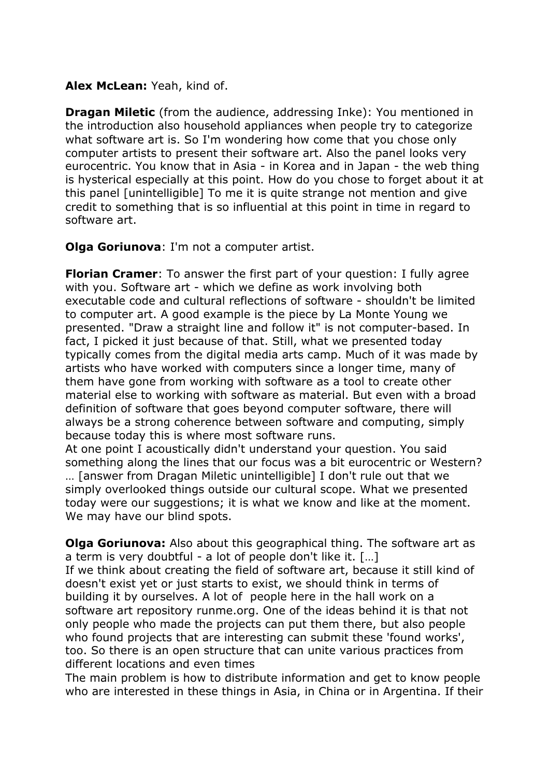### **Alex McLean:** Yeah, kind of.

**Dragan Miletic** (from the audience, addressing Inke): You mentioned in the introduction also household appliances when people try to categorize what software art is. So I'm wondering how come that you chose only computer artists to present their software art. Also the panel looks very eurocentric. You know that in Asia - in Korea and in Japan - the web thing is hysterical especially at this point. How do you chose to forget about it at this panel [unintelligible] To me it is quite strange not mention and give credit to something that is so influential at this point in time in regard to software art.

**Olga Goriunova**: I'm not a computer artist.

**Florian Cramer**: To answer the first part of your question: I fully agree with you. Software art - which we define as work involving both executable code and cultural reflections of software - shouldn't be limited to computer art. A good example is the piece by La Monte Young we presented. "Draw a straight line and follow it" is not computer-based. In fact, I picked it just because of that. Still, what we presented today typically comes from the digital media arts camp. Much of it was made by artists who have worked with computers since a longer time, many of them have gone from working with software as a tool to create other material else to working with software as material. But even with a broad definition of software that goes beyond computer software, there will always be a strong coherence between software and computing, simply because today this is where most software runs.

At one point I acoustically didn't understand your question. You said something along the lines that our focus was a bit eurocentric or Western? … [answer from Dragan Miletic unintelligible] I don't rule out that we simply overlooked things outside our cultural scope. What we presented today were our suggestions; it is what we know and like at the moment. We may have our blind spots.

**Olga Goriunova:** Also about this geographical thing. The software art as a term is very doubtful - a lot of people don't like it. […] If we think about creating the field of software art, because it still kind of doesn't exist yet or just starts to exist, we should think in terms of building it by ourselves. A lot of people here in the hall work on a software art repository runme.org. One of the ideas behind it is that not only people who made the projects can put them there, but also people who found projects that are interesting can submit these 'found works', too. So there is an open structure that can unite various practices from different locations and even times

The main problem is how to distribute information and get to know people who are interested in these things in Asia, in China or in Argentina. If their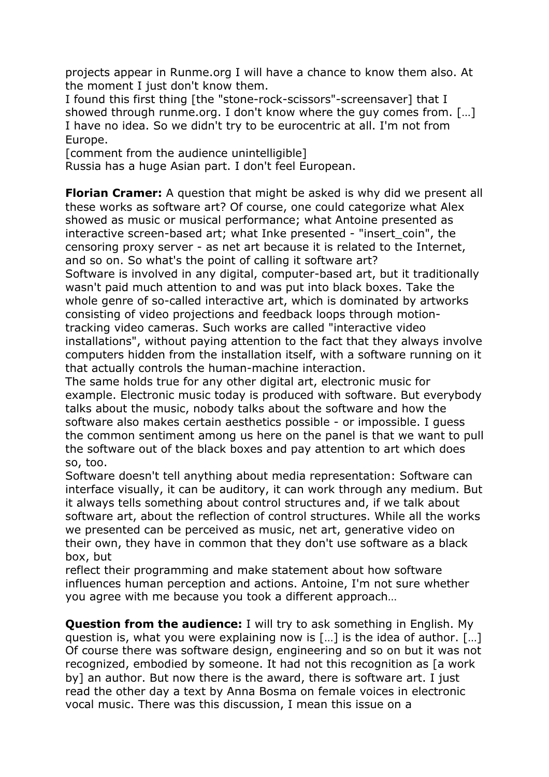projects appear in Runme.org I will have a chance to know them also. At the moment I just don't know them.

I found this first thing [the "stone-rock-scissors"-screensaver] that I showed through runme.org. I don't know where the guy comes from. […] I have no idea. So we didn't try to be eurocentric at all. I'm not from Europe.

[comment from the audience unintelligible]

Russia has a huge Asian part. I don't feel European.

**Florian Cramer:** A question that might be asked is why did we present all these works as software art? Of course, one could categorize what Alex showed as music or musical performance; what Antoine presented as interactive screen-based art; what Inke presented - "insert coin", the censoring proxy server - as net art because it is related to the Internet, and so on. So what's the point of calling it software art?

Software is involved in any digital, computer-based art, but it traditionally wasn't paid much attention to and was put into black boxes. Take the whole genre of so-called interactive art, which is dominated by artworks consisting of video projections and feedback loops through motiontracking video cameras. Such works are called "interactive video installations", without paying attention to the fact that they always involve computers hidden from the installation itself, with a software running on it that actually controls the human-machine interaction.

The same holds true for any other digital art, electronic music for example. Electronic music today is produced with software. But everybody talks about the music, nobody talks about the software and how the software also makes certain aesthetics possible - or impossible. I guess the common sentiment among us here on the panel is that we want to pull the software out of the black boxes and pay attention to art which does so, too.

Software doesn't tell anything about media representation: Software can interface visually, it can be auditory, it can work through any medium. But it always tells something about control structures and, if we talk about software art, about the reflection of control structures. While all the works we presented can be perceived as music, net art, generative video on their own, they have in common that they don't use software as a black box, but

reflect their programming and make statement about how software influences human perception and actions. Antoine, I'm not sure whether you agree with me because you took a different approach…

**Question from the audience:** I will try to ask something in English. My question is, what you were explaining now is […] is the idea of author. […] Of course there was software design, engineering and so on but it was not recognized, embodied by someone. It had not this recognition as [a work by] an author. But now there is the award, there is software art. I just read the other day a text by Anna Bosma on female voices in electronic vocal music. There was this discussion, I mean this issue on a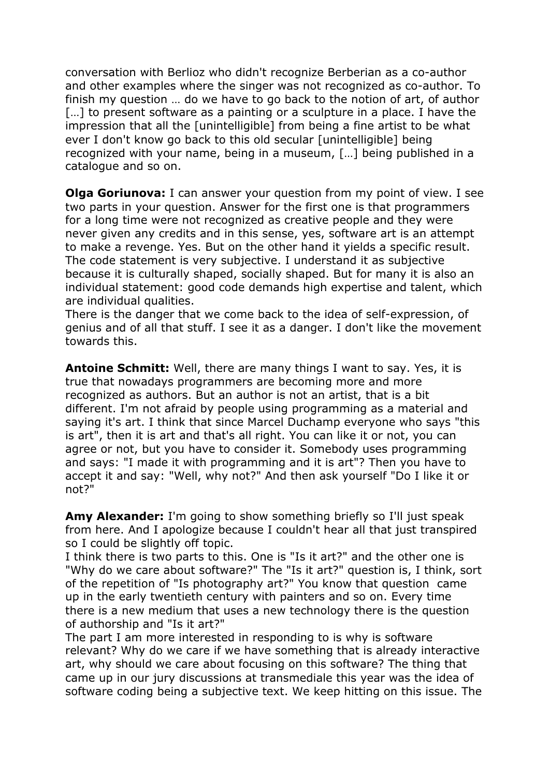conversation with Berlioz who didn't recognize Berberian as a co-author and other examples where the singer was not recognized as co-author. To finish my question … do we have to go back to the notion of art, of author [...] to present software as a painting or a sculpture in a place. I have the impression that all the [unintelligible] from being a fine artist to be what ever I don't know go back to this old secular [unintelligible] being recognized with your name, being in a museum, […] being published in a catalogue and so on.

**Olga Goriunova:** I can answer your question from my point of view. I see two parts in your question. Answer for the first one is that programmers for a long time were not recognized as creative people and they were never given any credits and in this sense, yes, software art is an attempt to make a revenge. Yes. But on the other hand it yields a specific result. The code statement is very subjective. I understand it as subjective because it is culturally shaped, socially shaped. But for many it is also an individual statement: good code demands high expertise and talent, which are individual qualities.

There is the danger that we come back to the idea of self-expression, of genius and of all that stuff. I see it as a danger. I don't like the movement towards this.

**Antoine Schmitt:** Well, there are many things I want to say. Yes, it is true that nowadays programmers are becoming more and more recognized as authors. But an author is not an artist, that is a bit different. I'm not afraid by people using programming as a material and saying it's art. I think that since Marcel Duchamp everyone who says "this is art", then it is art and that's all right. You can like it or not, you can agree or not, but you have to consider it. Somebody uses programming and says: "I made it with programming and it is art"? Then you have to accept it and say: "Well, why not?" And then ask yourself "Do I like it or not?"

**Amy Alexander:** I'm going to show something briefly so I'll just speak from here. And I apologize because I couldn't hear all that just transpired so I could be slightly off topic.

I think there is two parts to this. One is "Is it art?" and the other one is "Why do we care about software?" The "Is it art?" question is, I think, sort of the repetition of "Is photography art?" You know that question came up in the early twentieth century with painters and so on. Every time there is a new medium that uses a new technology there is the question of authorship and "Is it art?"

The part I am more interested in responding to is why is software relevant? Why do we care if we have something that is already interactive art, why should we care about focusing on this software? The thing that came up in our jury discussions at transmediale this year was the idea of software coding being a subjective text. We keep hitting on this issue. The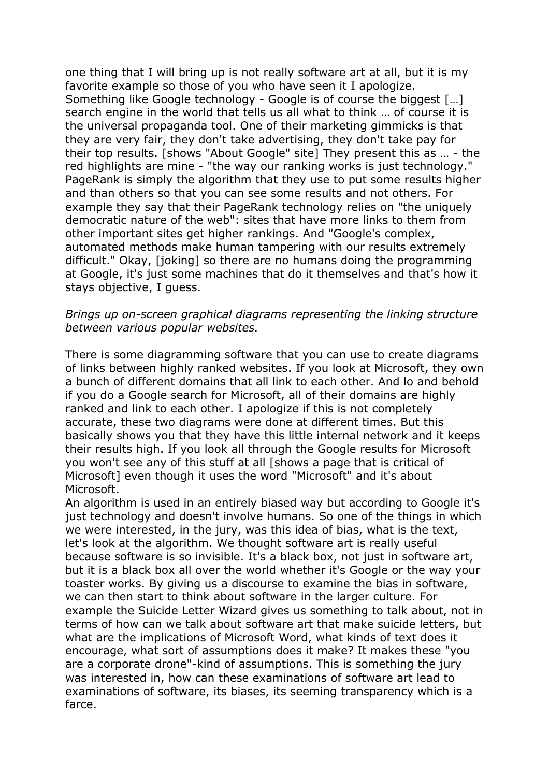one thing that I will bring up is not really software art at all, but it is my favorite example so those of you who have seen it I apologize. Something like Google technology - Google is of course the biggest […] search engine in the world that tells us all what to think … of course it is the universal propaganda tool. One of their marketing gimmicks is that they are very fair, they don't take advertising, they don't take pay for their top results. [shows "About Google" site] They present this as … - the red highlights are mine - "the way our ranking works is just technology." PageRank is simply the algorithm that they use to put some results higher and than others so that you can see some results and not others. For example they say that their PageRank technology relies on "the uniquely democratic nature of the web": sites that have more links to them from other important sites get higher rankings. And "Google's complex, automated methods make human tampering with our results extremely difficult." Okay, [joking] so there are no humans doing the programming at Google, it's just some machines that do it themselves and that's how it stays objective, I guess.

### *Brings up on-screen graphical diagrams representing the linking structure between various popular websites.*

There is some diagramming software that you can use to create diagrams of links between highly ranked websites. If you look at Microsoft, they own a bunch of different domains that all link to each other. And lo and behold if you do a Google search for Microsoft, all of their domains are highly ranked and link to each other. I apologize if this is not completely accurate, these two diagrams were done at different times. But this basically shows you that they have this little internal network and it keeps their results high. If you look all through the Google results for Microsoft you won't see any of this stuff at all [shows a page that is critical of Microsoft] even though it uses the word "Microsoft" and it's about Microsoft.

An algorithm is used in an entirely biased way but according to Google it's just technology and doesn't involve humans. So one of the things in which we were interested, in the jury, was this idea of bias, what is the text, let's look at the algorithm. We thought software art is really useful because software is so invisible. It's a black box, not just in software art, but it is a black box all over the world whether it's Google or the way your toaster works. By giving us a discourse to examine the bias in software, we can then start to think about software in the larger culture. For example the Suicide Letter Wizard gives us something to talk about, not in terms of how can we talk about software art that make suicide letters, but what are the implications of Microsoft Word, what kinds of text does it encourage, what sort of assumptions does it make? It makes these "you are a corporate drone"-kind of assumptions. This is something the jury was interested in, how can these examinations of software art lead to examinations of software, its biases, its seeming transparency which is a farce.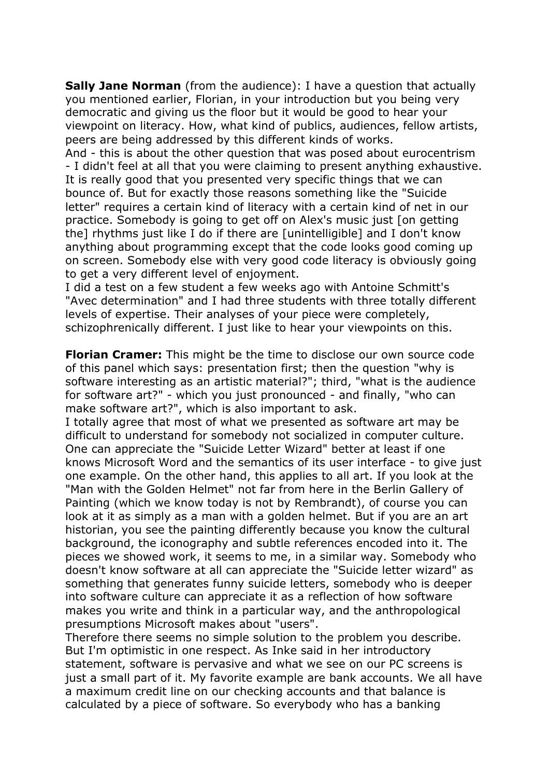**Sally Jane Norman** (from the audience): I have a question that actually you mentioned earlier, Florian, in your introduction but you being very democratic and giving us the floor but it would be good to hear your viewpoint on literacy. How, what kind of publics, audiences, fellow artists, peers are being addressed by this different kinds of works.

And - this is about the other question that was posed about eurocentrism - I didn't feel at all that you were claiming to present anything exhaustive. It is really good that you presented very specific things that we can bounce of. But for exactly those reasons something like the "Suicide letter" requires a certain kind of literacy with a certain kind of net in our practice. Somebody is going to get off on Alex's music just [on getting the] rhythms just like I do if there are [unintelligible] and I don't know anything about programming except that the code looks good coming up on screen. Somebody else with very good code literacy is obviously going to get a very different level of enjoyment.

I did a test on a few student a few weeks ago with Antoine Schmitt's "Avec determination" and I had three students with three totally different levels of expertise. Their analyses of your piece were completely, schizophrenically different. I just like to hear your viewpoints on this.

**Florian Cramer:** This might be the time to disclose our own source code of this panel which says: presentation first; then the question "why is software interesting as an artistic material?"; third, "what is the audience for software art?" - which you just pronounced - and finally, "who can make software art?", which is also important to ask.

I totally agree that most of what we presented as software art may be difficult to understand for somebody not socialized in computer culture. One can appreciate the "Suicide Letter Wizard" better at least if one knows Microsoft Word and the semantics of its user interface - to give just one example. On the other hand, this applies to all art. If you look at the "Man with the Golden Helmet" not far from here in the Berlin Gallery of Painting (which we know today is not by Rembrandt), of course you can look at it as simply as a man with a golden helmet. But if you are an art historian, you see the painting differently because you know the cultural background, the iconography and subtle references encoded into it. The pieces we showed work, it seems to me, in a similar way. Somebody who doesn't know software at all can appreciate the "Suicide letter wizard" as something that generates funny suicide letters, somebody who is deeper into software culture can appreciate it as a reflection of how software makes you write and think in a particular way, and the anthropological presumptions Microsoft makes about "users".

Therefore there seems no simple solution to the problem you describe. But I'm optimistic in one respect. As Inke said in her introductory statement, software is pervasive and what we see on our PC screens is just a small part of it. My favorite example are bank accounts. We all have a maximum credit line on our checking accounts and that balance is calculated by a piece of software. So everybody who has a banking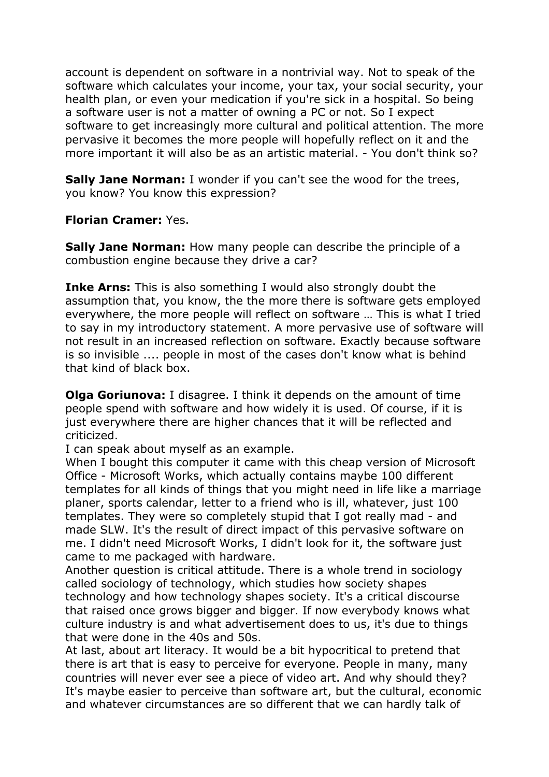account is dependent on software in a nontrivial way. Not to speak of the software which calculates your income, your tax, your social security, your health plan, or even your medication if you're sick in a hospital. So being a software user is not a matter of owning a PC or not. So I expect software to get increasingly more cultural and political attention. The more pervasive it becomes the more people will hopefully reflect on it and the more important it will also be as an artistic material. - You don't think so?

**Sally Jane Norman:** I wonder if you can't see the wood for the trees, you know? You know this expression?

**Florian Cramer:** Yes.

**Sally Jane Norman:** How many people can describe the principle of a combustion engine because they drive a car?

**Inke Arns:** This is also something I would also strongly doubt the assumption that, you know, the the more there is software gets employed everywhere, the more people will reflect on software … This is what I tried to say in my introductory statement. A more pervasive use of software will not result in an increased reflection on software. Exactly because software is so invisible .... people in most of the cases don't know what is behind that kind of black box.

**Olga Goriunova:** I disagree. I think it depends on the amount of time people spend with software and how widely it is used. Of course, if it is just everywhere there are higher chances that it will be reflected and criticized.

I can speak about myself as an example.

When I bought this computer it came with this cheap version of Microsoft Office - Microsoft Works, which actually contains maybe 100 different templates for all kinds of things that you might need in life like a marriage planer, sports calendar, letter to a friend who is ill, whatever, just 100 templates. They were so completely stupid that I got really mad - and made SLW. It's the result of direct impact of this pervasive software on me. I didn't need Microsoft Works, I didn't look for it, the software just came to me packaged with hardware.

Another question is critical attitude. There is a whole trend in sociology called sociology of technology, which studies how society shapes technology and how technology shapes society. It's a critical discourse that raised once grows bigger and bigger. If now everybody knows what culture industry is and what advertisement does to us, it's due to things that were done in the 40s and 50s.

At last, about art literacy. It would be a bit hypocritical to pretend that there is art that is easy to perceive for everyone. People in many, many countries will never ever see a piece of video art. And why should they? It's maybe easier to perceive than software art, but the cultural, economic and whatever circumstances are so different that we can hardly talk of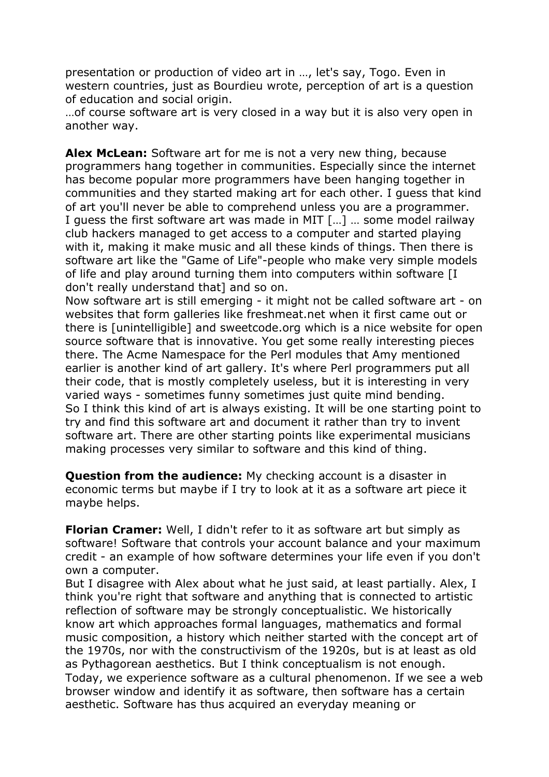presentation or production of video art in …, let's say, Togo. Even in western countries, just as Bourdieu wrote, perception of art is a question of education and social origin.

…of course software art is very closed in a way but it is also very open in another way.

**Alex McLean:** Software art for me is not a very new thing, because programmers hang together in communities. Especially since the internet has become popular more programmers have been hanging together in communities and they started making art for each other. I guess that kind of art you'll never be able to comprehend unless you are a programmer. I guess the first software art was made in MIT […] … some model railway club hackers managed to get access to a computer and started playing with it, making it make music and all these kinds of things. Then there is software art like the "Game of Life"-people who make very simple models of life and play around turning them into computers within software [I don't really understand that] and so on.

Now software art is still emerging - it might not be called software art - on websites that form galleries like freshmeat.net when it first came out or there is [unintelligible] and sweetcode.org which is a nice website for open source software that is innovative. You get some really interesting pieces there. The Acme Namespace for the Perl modules that Amy mentioned earlier is another kind of art gallery. It's where Perl programmers put all their code, that is mostly completely useless, but it is interesting in very varied ways - sometimes funny sometimes just quite mind bending. So I think this kind of art is always existing. It will be one starting point to try and find this software art and document it rather than try to invent software art. There are other starting points like experimental musicians making processes very similar to software and this kind of thing.

**Question from the audience:** My checking account is a disaster in economic terms but maybe if I try to look at it as a software art piece it maybe helps.

**Florian Cramer:** Well, I didn't refer to it as software art but simply as software! Software that controls your account balance and your maximum credit - an example of how software determines your life even if you don't own a computer.

But I disagree with Alex about what he just said, at least partially. Alex, I think you're right that software and anything that is connected to artistic reflection of software may be strongly conceptualistic. We historically know art which approaches formal languages, mathematics and formal music composition, a history which neither started with the concept art of the 1970s, nor with the constructivism of the 1920s, but is at least as old as Pythagorean aesthetics. But I think conceptualism is not enough. Today, we experience software as a cultural phenomenon. If we see a web browser window and identify it as software, then software has a certain aesthetic. Software has thus acquired an everyday meaning or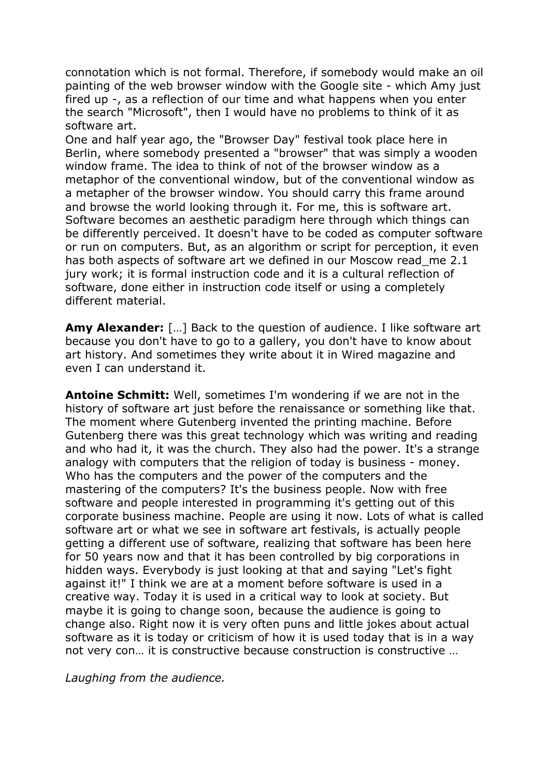connotation which is not formal. Therefore, if somebody would make an oil painting of the web browser window with the Google site - which Amy just fired up -, as a reflection of our time and what happens when you enter the search "Microsoft", then I would have no problems to think of it as software art.

One and half year ago, the "Browser Day" festival took place here in Berlin, where somebody presented a "browser" that was simply a wooden window frame. The idea to think of not of the browser window as a metaphor of the conventional window, but of the conventional window as a metapher of the browser window. You should carry this frame around and browse the world looking through it. For me, this is software art. Software becomes an aesthetic paradigm here through which things can be differently perceived. It doesn't have to be coded as computer software or run on computers. But, as an algorithm or script for perception, it even has both aspects of software art we defined in our Moscow read me 2.1 jury work; it is formal instruction code and it is a cultural reflection of software, done either in instruction code itself or using a completely different material.

**Amy Alexander:** […] Back to the question of audience. I like software art because you don't have to go to a gallery, you don't have to know about art history. And sometimes they write about it in Wired magazine and even I can understand it.

**Antoine Schmitt:** Well, sometimes I'm wondering if we are not in the history of software art just before the renaissance or something like that. The moment where Gutenberg invented the printing machine. Before Gutenberg there was this great technology which was writing and reading and who had it, it was the church. They also had the power. It's a strange analogy with computers that the religion of today is business - money. Who has the computers and the power of the computers and the mastering of the computers? It's the business people. Now with free software and people interested in programming it's getting out of this corporate business machine. People are using it now. Lots of what is called software art or what we see in software art festivals, is actually people getting a different use of software, realizing that software has been here for 50 years now and that it has been controlled by big corporations in hidden ways. Everybody is just looking at that and saying "Let's fight against it!" I think we are at a moment before software is used in a creative way. Today it is used in a critical way to look at society. But maybe it is going to change soon, because the audience is going to change also. Right now it is very often puns and little jokes about actual software as it is today or criticism of how it is used today that is in a way not very con… it is constructive because construction is constructive …

*Laughing from the audience.*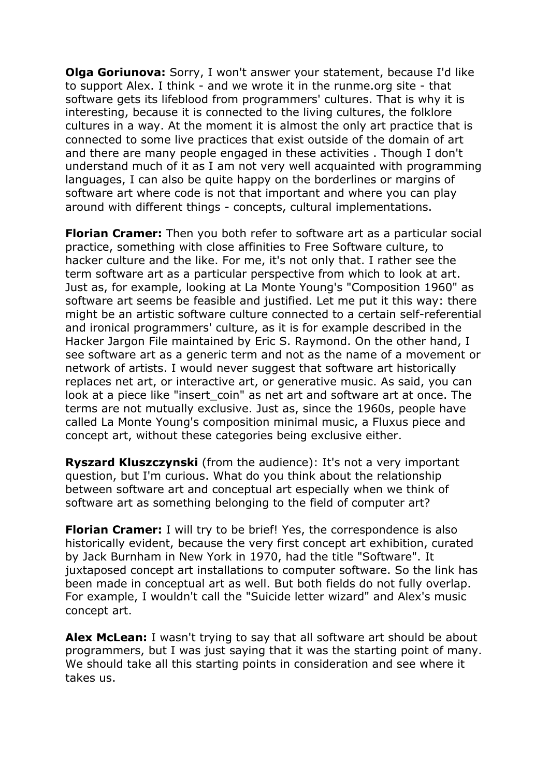**Olga Goriunova:** Sorry, I won't answer your statement, because I'd like to support Alex. I think - and we wrote it in the runme.org site - that software gets its lifeblood from programmers' cultures. That is why it is interesting, because it is connected to the living cultures, the folklore cultures in a way. At the moment it is almost the only art practice that is connected to some live practices that exist outside of the domain of art and there are many people engaged in these activities . Though I don't understand much of it as I am not very well acquainted with programming languages, I can also be quite happy on the borderlines or margins of software art where code is not that important and where you can play around with different things - concepts, cultural implementations.

**Florian Cramer:** Then you both refer to software art as a particular social practice, something with close affinities to Free Software culture, to hacker culture and the like. For me, it's not only that. I rather see the term software art as a particular perspective from which to look at art. Just as, for example, looking at La Monte Young's "Composition 1960" as software art seems be feasible and justified. Let me put it this way: there might be an artistic software culture connected to a certain self-referential and ironical programmers' culture, as it is for example described in the Hacker Jargon File maintained by Eric S. Raymond. On the other hand, I see software art as a generic term and not as the name of a movement or network of artists. I would never suggest that software art historically replaces net art, or interactive art, or generative music. As said, you can look at a piece like "insert coin" as net art and software art at once. The terms are not mutually exclusive. Just as, since the 1960s, people have called La Monte Young's composition minimal music, a Fluxus piece and concept art, without these categories being exclusive either.

**Ryszard Kluszczynski** (from the audience): It's not a very important question, but I'm curious. What do you think about the relationship between software art and conceptual art especially when we think of software art as something belonging to the field of computer art?

**Florian Cramer:** I will try to be brief! Yes, the correspondence is also historically evident, because the very first concept art exhibition, curated by Jack Burnham in New York in 1970, had the title "Software". It juxtaposed concept art installations to computer software. So the link has been made in conceptual art as well. But both fields do not fully overlap. For example, I wouldn't call the "Suicide letter wizard" and Alex's music concept art.

**Alex McLean:** I wasn't trying to say that all software art should be about programmers, but I was just saying that it was the starting point of many. We should take all this starting points in consideration and see where it takes us.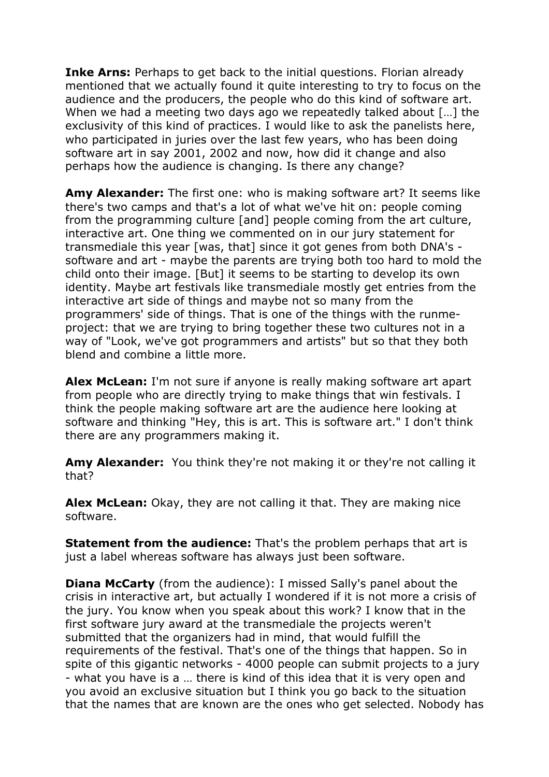**Inke Arns:** Perhaps to get back to the initial questions. Florian already mentioned that we actually found it quite interesting to try to focus on the audience and the producers, the people who do this kind of software art. When we had a meeting two days ago we repeatedly talked about [...] the exclusivity of this kind of practices. I would like to ask the panelists here, who participated in juries over the last few years, who has been doing software art in say 2001, 2002 and now, how did it change and also perhaps how the audience is changing. Is there any change?

**Amy Alexander:** The first one: who is making software art? It seems like there's two camps and that's a lot of what we've hit on: people coming from the programming culture [and] people coming from the art culture, interactive art. One thing we commented on in our jury statement for transmediale this year [was, that] since it got genes from both DNA's software and art - maybe the parents are trying both too hard to mold the child onto their image. [But] it seems to be starting to develop its own identity. Maybe art festivals like transmediale mostly get entries from the interactive art side of things and maybe not so many from the programmers' side of things. That is one of the things with the runmeproject: that we are trying to bring together these two cultures not in a way of "Look, we've got programmers and artists" but so that they both blend and combine a little more.

**Alex McLean:** I'm not sure if anyone is really making software art apart from people who are directly trying to make things that win festivals. I think the people making software art are the audience here looking at software and thinking "Hey, this is art. This is software art." I don't think there are any programmers making it.

**Amy Alexander:** You think they're not making it or they're not calling it that?

**Alex McLean:** Okay, they are not calling it that. They are making nice software.

**Statement from the audience:** That's the problem perhaps that art is just a label whereas software has always just been software.

**Diana McCarty** (from the audience): I missed Sally's panel about the crisis in interactive art, but actually I wondered if it is not more a crisis of the jury. You know when you speak about this work? I know that in the first software jury award at the transmediale the projects weren't submitted that the organizers had in mind, that would fulfill the requirements of the festival. That's one of the things that happen. So in spite of this gigantic networks - 4000 people can submit projects to a jury - what you have is a … there is kind of this idea that it is very open and you avoid an exclusive situation but I think you go back to the situation that the names that are known are the ones who get selected. Nobody has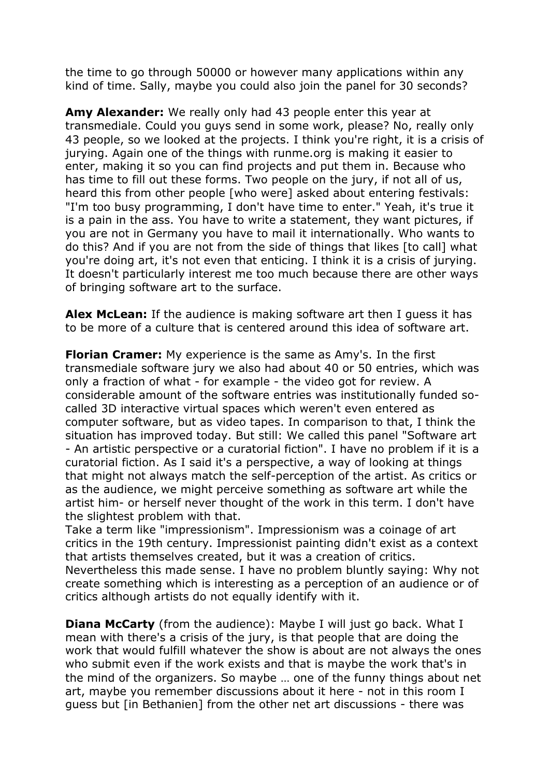the time to go through 50000 or however many applications within any kind of time. Sally, maybe you could also join the panel for 30 seconds?

**Amy Alexander:** We really only had 43 people enter this year at transmediale. Could you guys send in some work, please? No, really only 43 people, so we looked at the projects. I think you're right, it is a crisis of jurying. Again one of the things with runme.org is making it easier to enter, making it so you can find projects and put them in. Because who has time to fill out these forms. Two people on the jury, if not all of us, heard this from other people [who were] asked about entering festivals: "I'm too busy programming, I don't have time to enter." Yeah, it's true it is a pain in the ass. You have to write a statement, they want pictures, if you are not in Germany you have to mail it internationally. Who wants to do this? And if you are not from the side of things that likes [to call] what you're doing art, it's not even that enticing. I think it is a crisis of jurying. It doesn't particularly interest me too much because there are other ways of bringing software art to the surface.

**Alex McLean:** If the audience is making software art then I guess it has to be more of a culture that is centered around this idea of software art.

**Florian Cramer:** My experience is the same as Amy's. In the first transmediale software jury we also had about 40 or 50 entries, which was only a fraction of what - for example - the video got for review. A considerable amount of the software entries was institutionally funded socalled 3D interactive virtual spaces which weren't even entered as computer software, but as video tapes. In comparison to that, I think the situation has improved today. But still: We called this panel "Software art - An artistic perspective or a curatorial fiction". I have no problem if it is a curatorial fiction. As I said it's a perspective, a way of looking at things that might not always match the self-perception of the artist. As critics or as the audience, we might perceive something as software art while the artist him- or herself never thought of the work in this term. I don't have the slightest problem with that.

Take a term like "impressionism". Impressionism was a coinage of art critics in the 19th century. Impressionist painting didn't exist as a context that artists themselves created, but it was a creation of critics. Nevertheless this made sense. I have no problem bluntly saying: Why not create something which is interesting as a perception of an audience or of critics although artists do not equally identify with it.

**Diana McCarty** (from the audience): Maybe I will just go back. What I mean with there's a crisis of the jury, is that people that are doing the work that would fulfill whatever the show is about are not always the ones who submit even if the work exists and that is maybe the work that's in the mind of the organizers. So maybe … one of the funny things about net art, maybe you remember discussions about it here - not in this room I guess but [in Bethanien] from the other net art discussions - there was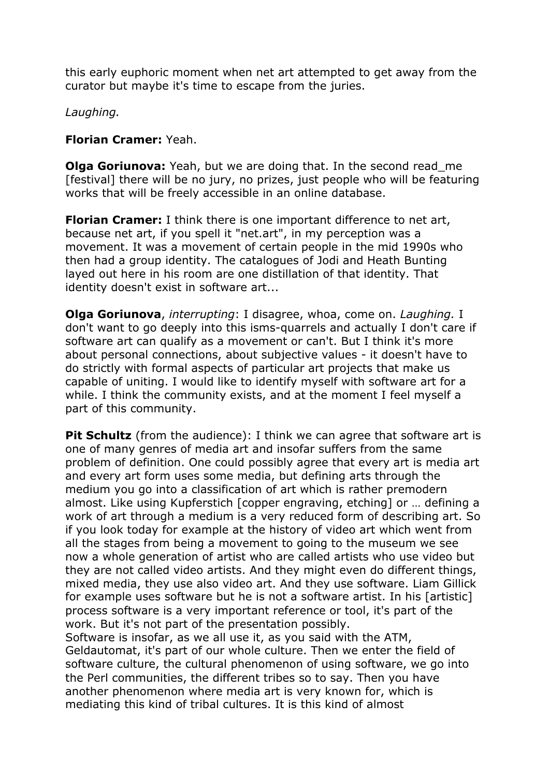this early euphoric moment when net art attempted to get away from the curator but maybe it's time to escape from the juries.

# *Laughing.*

# **Florian Cramer:** Yeah.

**Olga Goriunova:** Yeah, but we are doing that. In the second read me [festival] there will be no jury, no prizes, just people who will be featuring works that will be freely accessible in an online database.

**Florian Cramer:** I think there is one important difference to net art, because net art, if you spell it "net.art", in my perception was a movement. It was a movement of certain people in the mid 1990s who then had a group identity. The catalogues of Jodi and Heath Bunting layed out here in his room are one distillation of that identity. That identity doesn't exist in software art...

**Olga Goriunova**, *interrupting*: I disagree, whoa, come on. *Laughing.* I don't want to go deeply into this isms-quarrels and actually I don't care if software art can qualify as a movement or can't. But I think it's more about personal connections, about subjective values - it doesn't have to do strictly with formal aspects of particular art projects that make us capable of uniting. I would like to identify myself with software art for a while. I think the community exists, and at the moment I feel myself a part of this community.

**Pit Schultz** (from the audience): I think we can agree that software art is one of many genres of media art and insofar suffers from the same problem of definition. One could possibly agree that every art is media art and every art form uses some media, but defining arts through the medium you go into a classification of art which is rather premodern almost. Like using Kupferstich [copper engraving, etching] or … defining a work of art through a medium is a very reduced form of describing art. So if you look today for example at the history of video art which went from all the stages from being a movement to going to the museum we see now a whole generation of artist who are called artists who use video but they are not called video artists. And they might even do different things, mixed media, they use also video art. And they use software. Liam Gillick for example uses software but he is not a software artist. In his [artistic] process software is a very important reference or tool, it's part of the work. But it's not part of the presentation possibly.

Software is insofar, as we all use it, as you said with the ATM, Geldautomat, it's part of our whole culture. Then we enter the field of software culture, the cultural phenomenon of using software, we go into the Perl communities, the different tribes so to say. Then you have another phenomenon where media art is very known for, which is mediating this kind of tribal cultures. It is this kind of almost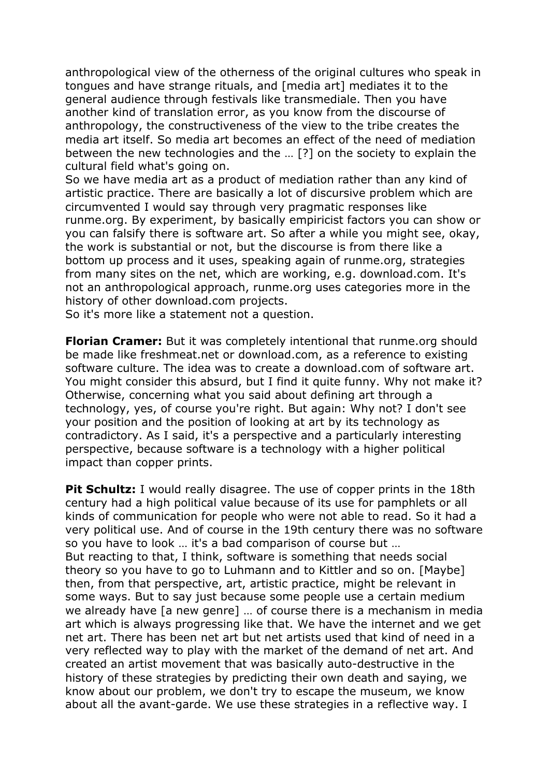anthropological view of the otherness of the original cultures who speak in tongues and have strange rituals, and [media art] mediates it to the general audience through festivals like transmediale. Then you have another kind of translation error, as you know from the discourse of anthropology, the constructiveness of the view to the tribe creates the media art itself. So media art becomes an effect of the need of mediation between the new technologies and the … [?] on the society to explain the cultural field what's going on.

So we have media art as a product of mediation rather than any kind of artistic practice. There are basically a lot of discursive problem which are circumvented I would say through very pragmatic responses like runme.org. By experiment, by basically empiricist factors you can show or you can falsify there is software art. So after a while you might see, okay, the work is substantial or not, but the discourse is from there like a bottom up process and it uses, speaking again of runme.org, strategies from many sites on the net, which are working, e.g. download.com. It's not an anthropological approach, runme.org uses categories more in the history of other download.com projects.

So it's more like a statement not a question.

**Florian Cramer:** But it was completely intentional that runme.org should be made like freshmeat.net or download.com, as a reference to existing software culture. The idea was to create a download.com of software art. You might consider this absurd, but I find it quite funny. Why not make it? Otherwise, concerning what you said about defining art through a technology, yes, of course you're right. But again: Why not? I don't see your position and the position of looking at art by its technology as contradictory. As I said, it's a perspective and a particularly interesting perspective, because software is a technology with a higher political impact than copper prints.

**Pit Schultz:** I would really disagree. The use of copper prints in the 18th century had a high political value because of its use for pamphlets or all kinds of communication for people who were not able to read. So it had a very political use. And of course in the 19th century there was no software so you have to look … it's a bad comparison of course but … But reacting to that, I think, software is something that needs social theory so you have to go to Luhmann and to Kittler and so on. [Maybe] then, from that perspective, art, artistic practice, might be relevant in some ways. But to say just because some people use a certain medium we already have [a new genre] … of course there is a mechanism in media art which is always progressing like that. We have the internet and we get net art. There has been net art but net artists used that kind of need in a very reflected way to play with the market of the demand of net art. And created an artist movement that was basically auto-destructive in the history of these strategies by predicting their own death and saying, we know about our problem, we don't try to escape the museum, we know about all the avant-garde. We use these strategies in a reflective way. I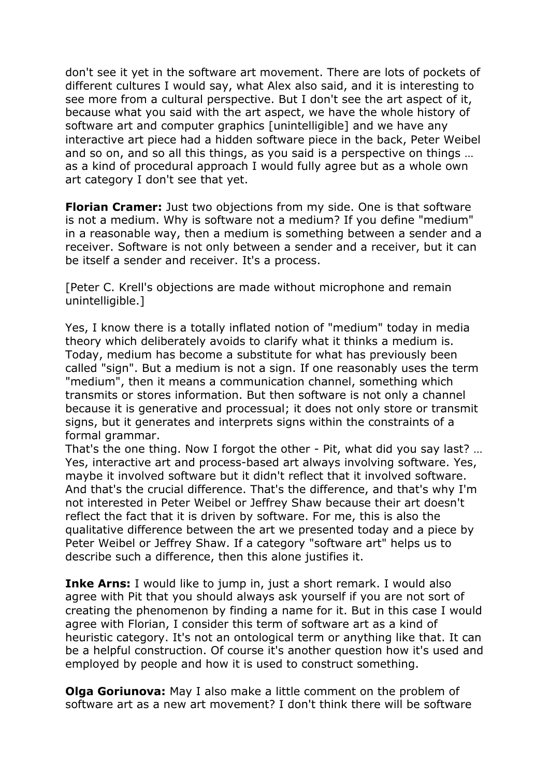don't see it yet in the software art movement. There are lots of pockets of different cultures I would say, what Alex also said, and it is interesting to see more from a cultural perspective. But I don't see the art aspect of it, because what you said with the art aspect, we have the whole history of software art and computer graphics [unintelligible] and we have any interactive art piece had a hidden software piece in the back, Peter Weibel and so on, and so all this things, as you said is a perspective on things … as a kind of procedural approach I would fully agree but as a whole own art category I don't see that yet.

**Florian Cramer:** Just two objections from my side. One is that software is not a medium. Why is software not a medium? If you define "medium" in a reasonable way, then a medium is something between a sender and a receiver. Software is not only between a sender and a receiver, but it can be itself a sender and receiver. It's a process.

[Peter C. Krell's objections are made without microphone and remain unintelligible.]

Yes, I know there is a totally inflated notion of "medium" today in media theory which deliberately avoids to clarify what it thinks a medium is. Today, medium has become a substitute for what has previously been called "sign". But a medium is not a sign. If one reasonably uses the term "medium", then it means a communication channel, something which transmits or stores information. But then software is not only a channel because it is generative and processual; it does not only store or transmit signs, but it generates and interprets signs within the constraints of a formal grammar.

That's the one thing. Now I forgot the other - Pit, what did you say last? … Yes, interactive art and process-based art always involving software. Yes, maybe it involved software but it didn't reflect that it involved software. And that's the crucial difference. That's the difference, and that's why I'm not interested in Peter Weibel or Jeffrey Shaw because their art doesn't reflect the fact that it is driven by software. For me, this is also the qualitative difference between the art we presented today and a piece by Peter Weibel or Jeffrey Shaw. If a category "software art" helps us to describe such a difference, then this alone justifies it.

**Inke Arns:** I would like to jump in, just a short remark. I would also agree with Pit that you should always ask yourself if you are not sort of creating the phenomenon by finding a name for it. But in this case I would agree with Florian, I consider this term of software art as a kind of heuristic category. It's not an ontological term or anything like that. It can be a helpful construction. Of course it's another question how it's used and employed by people and how it is used to construct something.

**Olga Goriunova:** May I also make a little comment on the problem of software art as a new art movement? I don't think there will be software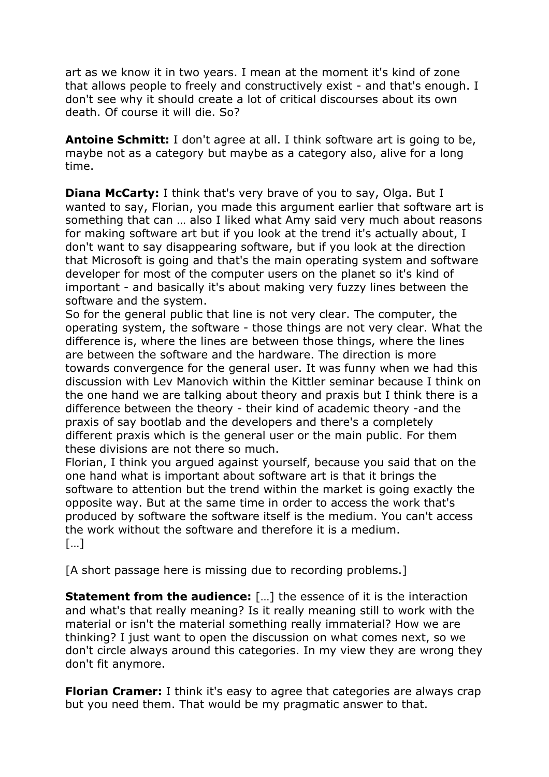art as we know it in two years. I mean at the moment it's kind of zone that allows people to freely and constructively exist - and that's enough. I don't see why it should create a lot of critical discourses about its own death. Of course it will die. So?

**Antoine Schmitt:** I don't agree at all. I think software art is going to be, maybe not as a category but maybe as a category also, alive for a long time.

**Diana McCarty:** I think that's very brave of you to say, Olga. But I wanted to say, Florian, you made this argument earlier that software art is something that can … also I liked what Amy said very much about reasons for making software art but if you look at the trend it's actually about, I don't want to say disappearing software, but if you look at the direction that Microsoft is going and that's the main operating system and software developer for most of the computer users on the planet so it's kind of important - and basically it's about making very fuzzy lines between the software and the system.

So for the general public that line is not very clear. The computer, the operating system, the software - those things are not very clear. What the difference is, where the lines are between those things, where the lines are between the software and the hardware. The direction is more towards convergence for the general user. It was funny when we had this discussion with Lev Manovich within the Kittler seminar because I think on the one hand we are talking about theory and praxis but I think there is a difference between the theory - their kind of academic theory -and the praxis of say bootlab and the developers and there's a completely different praxis which is the general user or the main public. For them these divisions are not there so much.

Florian, I think you argued against yourself, because you said that on the one hand what is important about software art is that it brings the software to attention but the trend within the market is going exactly the opposite way. But at the same time in order to access the work that's produced by software the software itself is the medium. You can't access the work without the software and therefore it is a medium.  $[...]$ 

[A short passage here is missing due to recording problems.]

**Statement from the audience:** [...] the essence of it is the interaction and what's that really meaning? Is it really meaning still to work with the material or isn't the material something really immaterial? How we are thinking? I just want to open the discussion on what comes next, so we don't circle always around this categories. In my view they are wrong they don't fit anymore.

**Florian Cramer:** I think it's easy to agree that categories are always crap but you need them. That would be my pragmatic answer to that.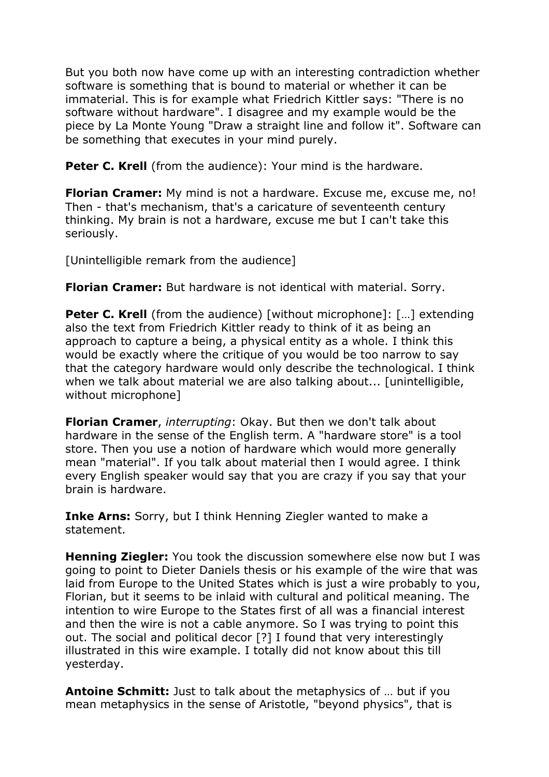But you both now have come up with an interesting contradiction whether software is something that is bound to material or whether it can be immaterial. This is for example what Friedrich Kittler says: "There is no software without hardware". I disagree and my example would be the piece by La Monte Young "Draw a straight line and follow it". Software can be something that executes in your mind purely.

**Peter C. Krell** (from the audience): Your mind is the hardware.

**Florian Cramer:** My mind is not a hardware. Excuse me, excuse me, no! Then - that's mechanism, that's a caricature of seventeenth century thinking. My brain is not a hardware, excuse me but I can't take this seriously.

[Unintelligible remark from the audience]

**Florian Cramer:** But hardware is not identical with material. Sorry.

**Peter C. Krell** (from the audience) [without microphone]: [...] extending also the text from Friedrich Kittler ready to think of it as being an approach to capture a being, a physical entity as a whole. I think this would be exactly where the critique of you would be too narrow to say that the category hardware would only describe the technological. I think when we talk about material we are also talking about... [unintelligible, without microphone]

**Florian Cramer**, *interrupting*: Okay. But then we don't talk about hardware in the sense of the English term. A "hardware store" is a tool store. Then you use a notion of hardware which would more generally mean "material". If you talk about material then I would agree. I think every English speaker would say that you are crazy if you say that your brain is hardware.

**Inke Arns:** Sorry, but I think Henning Ziegler wanted to make a statement.

**Henning Ziegler:** You took the discussion somewhere else now but I was going to point to Dieter Daniels thesis or his example of the wire that was laid from Europe to the United States which is just a wire probably to you, Florian, but it seems to be inlaid with cultural and political meaning. The intention to wire Europe to the States first of all was a financial interest and then the wire is not a cable anymore. So I was trying to point this out. The social and political decor [?] I found that very interestingly illustrated in this wire example. I totally did not know about this till yesterday.

**Antoine Schmitt:** Just to talk about the metaphysics of … but if you mean metaphysics in the sense of Aristotle, "beyond physics", that is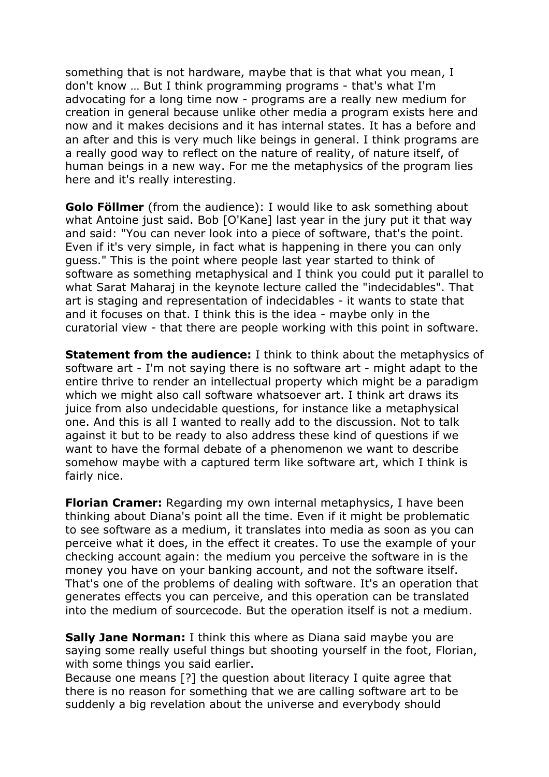something that is not hardware, maybe that is that what you mean, I don't know … But I think programming programs - that's what I'm advocating for a long time now - programs are a really new medium for creation in general because unlike other media a program exists here and now and it makes decisions and it has internal states. It has a before and an after and this is very much like beings in general. I think programs are a really good way to reflect on the nature of reality, of nature itself, of human beings in a new way. For me the metaphysics of the program lies here and it's really interesting.

**Golo Föllmer** (from the audience): I would like to ask something about what Antoine just said. Bob [O'Kane] last year in the jury put it that way and said: "You can never look into a piece of software, that's the point. Even if it's very simple, in fact what is happening in there you can only guess." This is the point where people last year started to think of software as something metaphysical and I think you could put it parallel to what Sarat Maharaj in the keynote lecture called the "indecidables". That art is staging and representation of indecidables - it wants to state that and it focuses on that. I think this is the idea - maybe only in the curatorial view - that there are people working with this point in software.

**Statement from the audience:** I think to think about the metaphysics of software art - I'm not saying there is no software art - might adapt to the entire thrive to render an intellectual property which might be a paradigm which we might also call software whatsoever art. I think art draws its juice from also undecidable questions, for instance like a metaphysical one. And this is all I wanted to really add to the discussion. Not to talk against it but to be ready to also address these kind of questions if we want to have the formal debate of a phenomenon we want to describe somehow maybe with a captured term like software art, which I think is fairly nice.

**Florian Cramer:** Regarding my own internal metaphysics, I have been thinking about Diana's point all the time. Even if it might be problematic to see software as a medium, it translates into media as soon as you can perceive what it does, in the effect it creates. To use the example of your checking account again: the medium you perceive the software in is the money you have on your banking account, and not the software itself. That's one of the problems of dealing with software. It's an operation that generates effects you can perceive, and this operation can be translated into the medium of sourcecode. But the operation itself is not a medium.

**Sally Jane Norman:** I think this where as Diana said maybe you are saying some really useful things but shooting yourself in the foot, Florian, with some things you said earlier.

Because one means [?] the question about literacy I quite agree that there is no reason for something that we are calling software art to be suddenly a big revelation about the universe and everybody should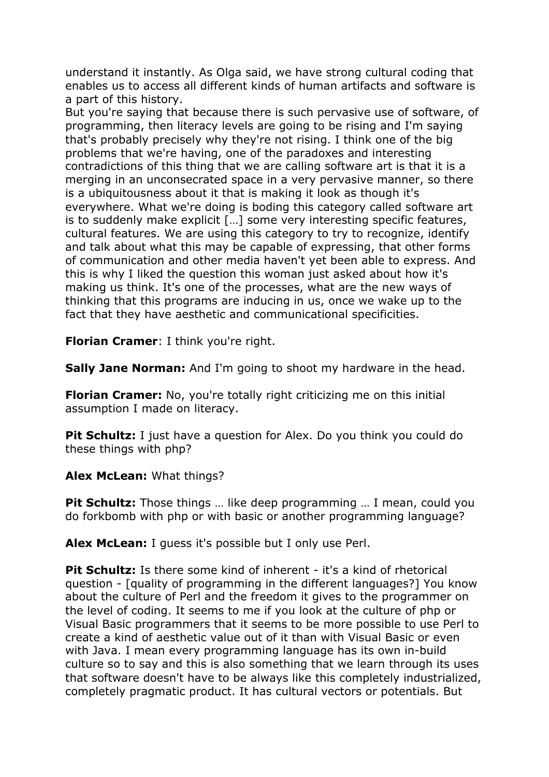understand it instantly. As Olga said, we have strong cultural coding that enables us to access all different kinds of human artifacts and software is a part of this history.

But you're saying that because there is such pervasive use of software, of programming, then literacy levels are going to be rising and I'm saying that's probably precisely why they're not rising. I think one of the big problems that we're having, one of the paradoxes and interesting contradictions of this thing that we are calling software art is that it is a merging in an unconsecrated space in a very pervasive manner, so there is a ubiquitousness about it that is making it look as though it's everywhere. What we're doing is boding this category called software art is to suddenly make explicit […] some very interesting specific features, cultural features. We are using this category to try to recognize, identify and talk about what this may be capable of expressing, that other forms of communication and other media haven't yet been able to express. And this is why I liked the question this woman just asked about how it's making us think. It's one of the processes, what are the new ways of thinking that this programs are inducing in us, once we wake up to the fact that they have aesthetic and communicational specificities.

**Florian Cramer**: I think you're right.

**Sally Jane Norman:** And I'm going to shoot my hardware in the head.

**Florian Cramer:** No, you're totally right criticizing me on this initial assumption I made on literacy.

**Pit Schultz:** I just have a question for Alex. Do you think you could do these things with php?

**Alex McLean:** What things?

**Pit Schultz:** Those things ... like deep programming ... I mean, could you do forkbomb with php or with basic or another programming language?

**Alex McLean:** I guess it's possible but I only use Perl.

**Pit Schultz:** Is there some kind of inherent - it's a kind of rhetorical question - [quality of programming in the different languages?] You know about the culture of Perl and the freedom it gives to the programmer on the level of coding. It seems to me if you look at the culture of php or Visual Basic programmers that it seems to be more possible to use Perl to create a kind of aesthetic value out of it than with Visual Basic or even with Java. I mean every programming language has its own in-build culture so to say and this is also something that we learn through its uses that software doesn't have to be always like this completely industrialized, completely pragmatic product. It has cultural vectors or potentials. But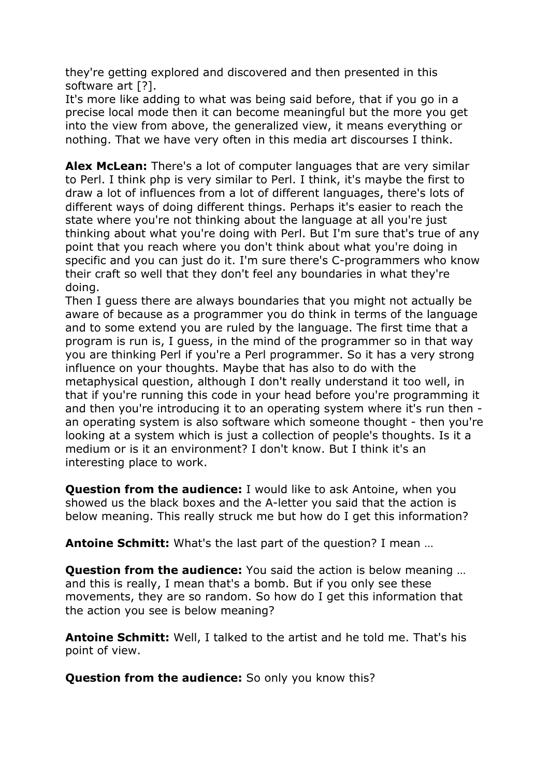they're getting explored and discovered and then presented in this software art [?].

It's more like adding to what was being said before, that if you go in a precise local mode then it can become meaningful but the more you get into the view from above, the generalized view, it means everything or nothing. That we have very often in this media art discourses I think.

**Alex McLean:** There's a lot of computer languages that are very similar to Perl. I think php is very similar to Perl. I think, it's maybe the first to draw a lot of influences from a lot of different languages, there's lots of different ways of doing different things. Perhaps it's easier to reach the state where you're not thinking about the language at all you're just thinking about what you're doing with Perl. But I'm sure that's true of any point that you reach where you don't think about what you're doing in specific and you can just do it. I'm sure there's C-programmers who know their craft so well that they don't feel any boundaries in what they're doing.

Then I guess there are always boundaries that you might not actually be aware of because as a programmer you do think in terms of the language and to some extend you are ruled by the language. The first time that a program is run is, I guess, in the mind of the programmer so in that way you are thinking Perl if you're a Perl programmer. So it has a very strong influence on your thoughts. Maybe that has also to do with the metaphysical question, although I don't really understand it too well, in that if you're running this code in your head before you're programming it and then you're introducing it to an operating system where it's run then an operating system is also software which someone thought - then you're looking at a system which is just a collection of people's thoughts. Is it a medium or is it an environment? I don't know. But I think it's an interesting place to work.

**Question from the audience:** I would like to ask Antoine, when you showed us the black boxes and the A-letter you said that the action is below meaning. This really struck me but how do I get this information?

**Antoine Schmitt:** What's the last part of the question? I mean …

**Question from the audience:** You said the action is below meaning … and this is really, I mean that's a bomb. But if you only see these movements, they are so random. So how do I get this information that the action you see is below meaning?

**Antoine Schmitt:** Well, I talked to the artist and he told me. That's his point of view.

**Question from the audience:** So only you know this?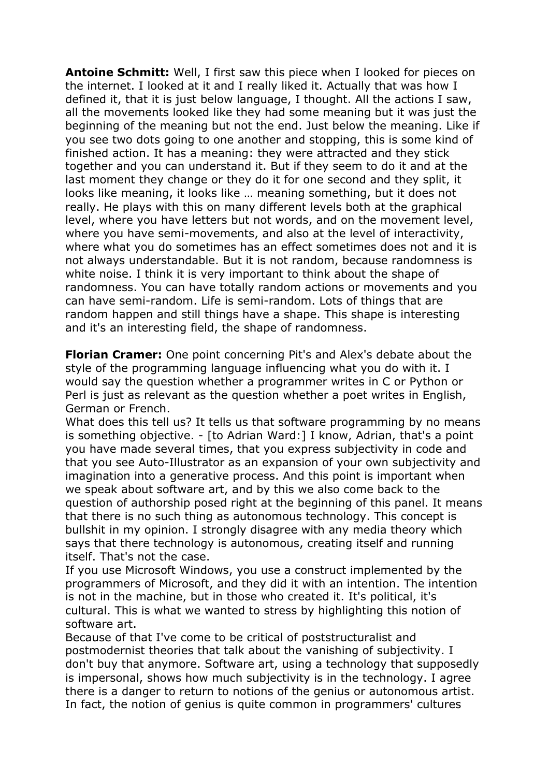**Antoine Schmitt:** Well, I first saw this piece when I looked for pieces on the internet. I looked at it and I really liked it. Actually that was how I defined it, that it is just below language, I thought. All the actions I saw, all the movements looked like they had some meaning but it was just the beginning of the meaning but not the end. Just below the meaning. Like if you see two dots going to one another and stopping, this is some kind of finished action. It has a meaning: they were attracted and they stick together and you can understand it. But if they seem to do it and at the last moment they change or they do it for one second and they split, it looks like meaning, it looks like … meaning something, but it does not really. He plays with this on many different levels both at the graphical level, where you have letters but not words, and on the movement level, where you have semi-movements, and also at the level of interactivity, where what you do sometimes has an effect sometimes does not and it is not always understandable. But it is not random, because randomness is white noise. I think it is very important to think about the shape of randomness. You can have totally random actions or movements and you can have semi-random. Life is semi-random. Lots of things that are random happen and still things have a shape. This shape is interesting and it's an interesting field, the shape of randomness.

**Florian Cramer:** One point concerning Pit's and Alex's debate about the style of the programming language influencing what you do with it. I would say the question whether a programmer writes in C or Python or Perl is just as relevant as the question whether a poet writes in English, German or French.

What does this tell us? It tells us that software programming by no means is something objective. - [to Adrian Ward:] I know, Adrian, that's a point you have made several times, that you express subjectivity in code and that you see Auto-Illustrator as an expansion of your own subjectivity and imagination into a generative process. And this point is important when we speak about software art, and by this we also come back to the question of authorship posed right at the beginning of this panel. It means that there is no such thing as autonomous technology. This concept is bullshit in my opinion. I strongly disagree with any media theory which says that there technology is autonomous, creating itself and running itself. That's not the case.

If you use Microsoft Windows, you use a construct implemented by the programmers of Microsoft, and they did it with an intention. The intention is not in the machine, but in those who created it. It's political, it's cultural. This is what we wanted to stress by highlighting this notion of software art.

Because of that I've come to be critical of poststructuralist and postmodernist theories that talk about the vanishing of subjectivity. I don't buy that anymore. Software art, using a technology that supposedly is impersonal, shows how much subjectivity is in the technology. I agree there is a danger to return to notions of the genius or autonomous artist. In fact, the notion of genius is quite common in programmers' cultures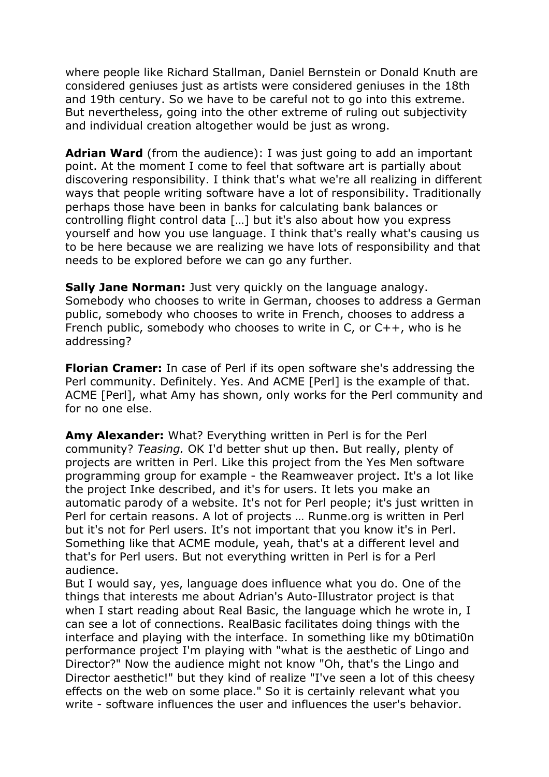where people like Richard Stallman, Daniel Bernstein or Donald Knuth are considered geniuses just as artists were considered geniuses in the 18th and 19th century. So we have to be careful not to go into this extreme. But nevertheless, going into the other extreme of ruling out subjectivity and individual creation altogether would be just as wrong.

**Adrian Ward** (from the audience): I was just going to add an important point. At the moment I come to feel that software art is partially about discovering responsibility. I think that's what we're all realizing in different ways that people writing software have a lot of responsibility. Traditionally perhaps those have been in banks for calculating bank balances or controlling flight control data […] but it's also about how you express yourself and how you use language. I think that's really what's causing us to be here because we are realizing we have lots of responsibility and that needs to be explored before we can go any further.

**Sally Jane Norman:** Just very quickly on the language analogy. Somebody who chooses to write in German, chooses to address a German public, somebody who chooses to write in French, chooses to address a French public, somebody who chooses to write in C, or  $C_{++}$ , who is he addressing?

**Florian Cramer:** In case of Perl if its open software she's addressing the Perl community. Definitely. Yes. And ACME [Perl] is the example of that. ACME [Perl], what Amy has shown, only works for the Perl community and for no one else.

**Amy Alexander:** What? Everything written in Perl is for the Perl community? *Teasing.* OK I'd better shut up then. But really, plenty of projects are written in Perl. Like this project from the Yes Men software programming group for example - the Reamweaver project. It's a lot like the project Inke described, and it's for users. It lets you make an automatic parody of a website. It's not for Perl people; it's just written in Perl for certain reasons. A lot of projects … Runme.org is written in Perl but it's not for Perl users. It's not important that you know it's in Perl. Something like that ACME module, yeah, that's at a different level and that's for Perl users. But not everything written in Perl is for a Perl audience.

But I would say, yes, language does influence what you do. One of the things that interests me about Adrian's Auto-Illustrator project is that when I start reading about Real Basic, the language which he wrote in, I can see a lot of connections. RealBasic facilitates doing things with the interface and playing with the interface. In something like my b0timati0n performance project I'm playing with "what is the aesthetic of Lingo and Director?" Now the audience might not know "Oh, that's the Lingo and Director aesthetic!" but they kind of realize "I've seen a lot of this cheesy effects on the web on some place." So it is certainly relevant what you write - software influences the user and influences the user's behavior.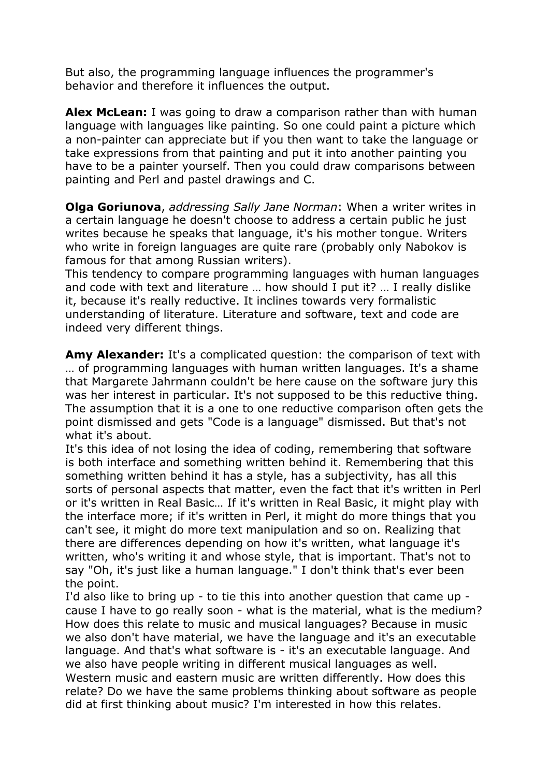But also, the programming language influences the programmer's behavior and therefore it influences the output.

**Alex McLean:** I was going to draw a comparison rather than with human language with languages like painting. So one could paint a picture which a non-painter can appreciate but if you then want to take the language or take expressions from that painting and put it into another painting you have to be a painter yourself. Then you could draw comparisons between painting and Perl and pastel drawings and C.

**Olga Goriunova**, *addressing Sally Jane Norman*: When a writer writes in a certain language he doesn't choose to address a certain public he just writes because he speaks that language, it's his mother tongue. Writers who write in foreign languages are quite rare (probably only Nabokov is famous for that among Russian writers).

This tendency to compare programming languages with human languages and code with text and literature … how should I put it? … I really dislike it, because it's really reductive. It inclines towards very formalistic understanding of literature. Literature and software, text and code are indeed very different things.

**Amy Alexander:** It's a complicated question: the comparison of text with … of programming languages with human written languages. It's a shame that Margarete Jahrmann couldn't be here cause on the software jury this was her interest in particular. It's not supposed to be this reductive thing. The assumption that it is a one to one reductive comparison often gets the point dismissed and gets "Code is a language" dismissed. But that's not what it's about.

It's this idea of not losing the idea of coding, remembering that software is both interface and something written behind it. Remembering that this something written behind it has a style, has a subjectivity, has all this sorts of personal aspects that matter, even the fact that it's written in Perl or it's written in Real Basic… If it's written in Real Basic, it might play with the interface more; if it's written in Perl, it might do more things that you can't see, it might do more text manipulation and so on. Realizing that there are differences depending on how it's written, what language it's written, who's writing it and whose style, that is important. That's not to say "Oh, it's just like a human language." I don't think that's ever been the point.

I'd also like to bring up - to tie this into another question that came up cause I have to go really soon - what is the material, what is the medium? How does this relate to music and musical languages? Because in music we also don't have material, we have the language and it's an executable language. And that's what software is - it's an executable language. And we also have people writing in different musical languages as well. Western music and eastern music are written differently. How does this relate? Do we have the same problems thinking about software as people did at first thinking about music? I'm interested in how this relates.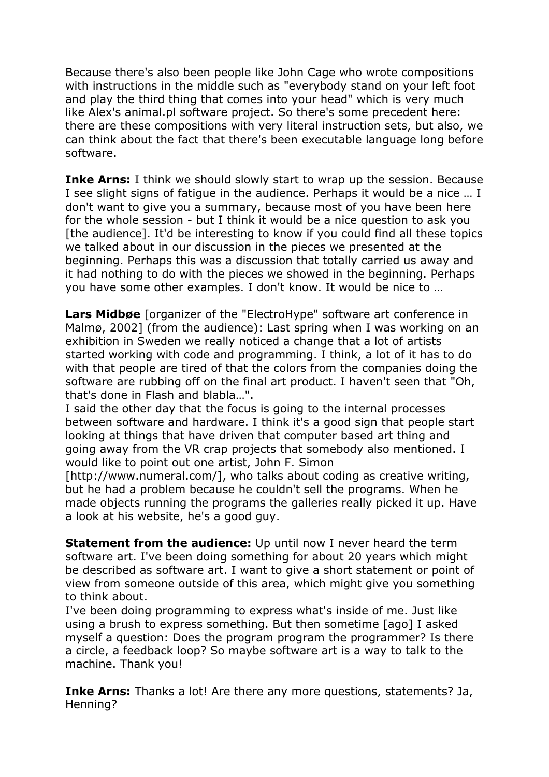Because there's also been people like John Cage who wrote compositions with instructions in the middle such as "everybody stand on your left foot and play the third thing that comes into your head" which is very much like Alex's animal.pl software project. So there's some precedent here: there are these compositions with very literal instruction sets, but also, we can think about the fact that there's been executable language long before software.

**Inke Arns:** I think we should slowly start to wrap up the session. Because I see slight signs of fatigue in the audience. Perhaps it would be a nice … I don't want to give you a summary, because most of you have been here for the whole session - but I think it would be a nice question to ask you [the audience]. It'd be interesting to know if you could find all these topics we talked about in our discussion in the pieces we presented at the beginning. Perhaps this was a discussion that totally carried us away and it had nothing to do with the pieces we showed in the beginning. Perhaps you have some other examples. I don't know. It would be nice to …

**Lars Midbøe** [organizer of the "ElectroHype" software art conference in Malmø, 2002] (from the audience): Last spring when I was working on an exhibition in Sweden we really noticed a change that a lot of artists started working with code and programming. I think, a lot of it has to do with that people are tired of that the colors from the companies doing the software are rubbing off on the final art product. I haven't seen that "Oh, that's done in Flash and blabla…".

I said the other day that the focus is going to the internal processes between software and hardware. I think it's a good sign that people start looking at things that have driven that computer based art thing and going away from the VR crap projects that somebody also mentioned. I would like to point out one artist, John F. Simon

[http://www.numeral.com/], who talks about coding as creative writing, but he had a problem because he couldn't sell the programs. When he made objects running the programs the galleries really picked it up. Have a look at his website, he's a good guy.

**Statement from the audience:** Up until now I never heard the term software art. I've been doing something for about 20 years which might be described as software art. I want to give a short statement or point of view from someone outside of this area, which might give you something to think about.

I've been doing programming to express what's inside of me. Just like using a brush to express something. But then sometime [ago] I asked myself a question: Does the program program the programmer? Is there a circle, a feedback loop? So maybe software art is a way to talk to the machine. Thank you!

**Inke Arns:** Thanks a lot! Are there any more questions, statements? Ja, Henning?